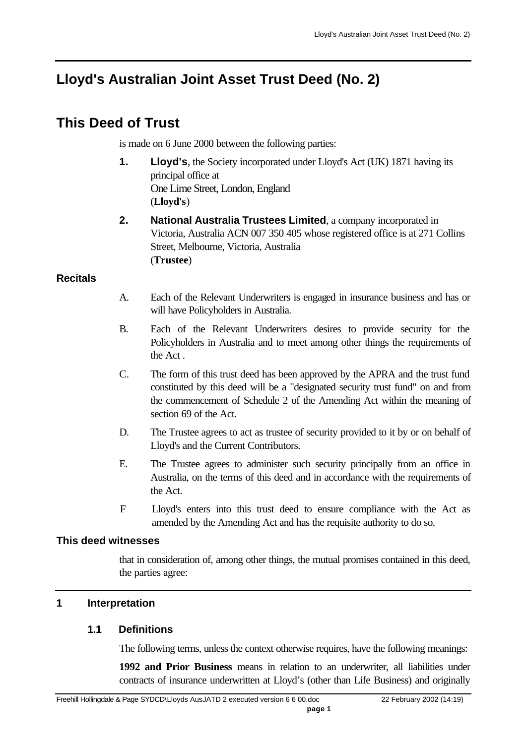# **Lloyd's Australian Joint Asset Trust Deed (No. 2)**

# **This Deed of Trust**

is made on 6 June 2000 between the following parties:

- **1. Lloyd's**, the Society incorporated under Lloyd's Act (UK) 1871 having its principal office at One Lime Street, London, England (**Lloyd's**)
- **2. National Australia Trustees Limited**, a company incorporated in Victoria, Australia ACN 007 350 405 whose registered office is at 271 Collins Street, Melbourne, Victoria, Australia (**Trustee**)

## **Recitals**

- A. Each of the Relevant Underwriters is engaged in insurance business and has or will have Policyholders in Australia.
- B. Each of the Relevant Underwriters desires to provide security for the Policyholders in Australia and to meet among other things the requirements of the Act .
- C. The form of this trust deed has been approved by the APRA and the trust fund constituted by this deed will be a "designated security trust fund" on and from the commencement of Schedule 2 of the Amending Act within the meaning of section 69 of the Act.
- D. The Trustee agrees to act as trustee of security provided to it by or on behalf of Lloyd's and the Current Contributors.
- E. The Trustee agrees to administer such security principally from an office in Australia, on the terms of this deed and in accordance with the requirements of the Act.
- F Lloyd's enters into this trust deed to ensure compliance with the Act as amended by the Amending Act and has the requisite authority to do so.

## **This deed witnesses**

that in consideration of, among other things, the mutual promises contained in this deed, the parties agree:

## **1 Interpretation**

## **1.1 Definitions**

The following terms, unless the context otherwise requires, have the following meanings:

**1992 and Prior Business** means in relation to an underwriter, all liabilities under contracts of insurance underwritten at Lloyd's (other than Life Business) and originally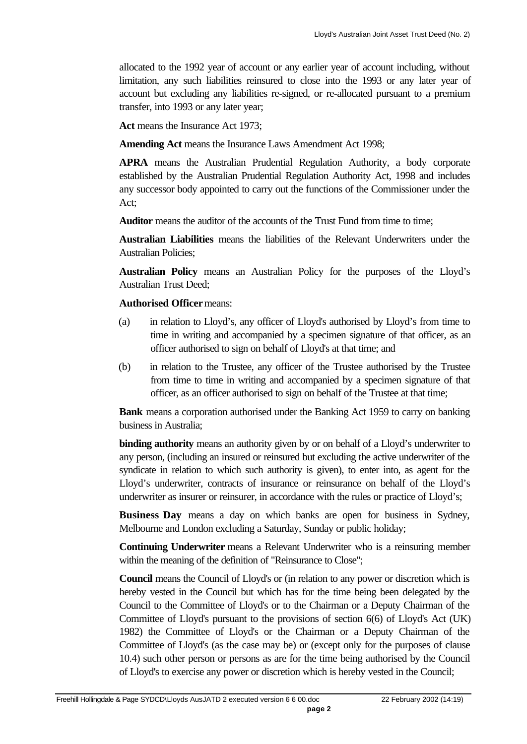allocated to the 1992 year of account or any earlier year of account including, without limitation, any such liabilities reinsured to close into the 1993 or any later year of account but excluding any liabilities re-signed, or re-allocated pursuant to a premium transfer, into 1993 or any later year;

Act means the Insurance Act 1973;

**Amending Act** means the Insurance Laws Amendment Act 1998;

**APRA** means the Australian Prudential Regulation Authority, a body corporate established by the Australian Prudential Regulation Authority Act, 1998 and includes any successor body appointed to carry out the functions of the Commissioner under the Act;

**Auditor** means the auditor of the accounts of the Trust Fund from time to time;

**Australian Liabilities** means the liabilities of the Relevant Underwriters under the Australian Policies;

**Australian Policy** means an Australian Policy for the purposes of the Lloyd's Australian Trust Deed;

#### **Authorised Officer** means:

- (a) in relation to Lloyd's, any officer of Lloyd's authorised by Lloyd's from time to time in writing and accompanied by a specimen signature of that officer, as an officer authorised to sign on behalf of Lloyd's at that time; and
- (b) in relation to the Trustee, any officer of the Trustee authorised by the Trustee from time to time in writing and accompanied by a specimen signature of that officer, as an officer authorised to sign on behalf of the Trustee at that time;

**Bank** means a corporation authorised under the Banking Act 1959 to carry on banking business in Australia;

**binding authority** means an authority given by or on behalf of a Lloyd's underwriter to any person, (including an insured or reinsured but excluding the active underwriter of the syndicate in relation to which such authority is given), to enter into, as agent for the Lloyd's underwriter, contracts of insurance or reinsurance on behalf of the Lloyd's underwriter as insurer or reinsurer, in accordance with the rules or practice of Lloyd's;

**Business Day** means a day on which banks are open for business in Sydney, Melbourne and London excluding a Saturday, Sunday or public holiday;

**Continuing Underwriter** means a Relevant Underwriter who is a reinsuring member within the meaning of the definition of "Reinsurance to Close";

**Council** means the Council of Lloyd's or (in relation to any power or discretion which is hereby vested in the Council but which has for the time being been delegated by the Council to the Committee of Lloyd's or to the Chairman or a Deputy Chairman of the Committee of Lloyd's pursuant to the provisions of section 6(6) of Lloyd's Act (UK) 1982) the Committee of Lloyd's or the Chairman or a Deputy Chairman of the Committee of Lloyd's (as the case may be) or (except only for the purposes of clause 10.4) such other person or persons as are for the time being authorised by the Council of Lloyd's to exercise any power or discretion which is hereby vested in the Council;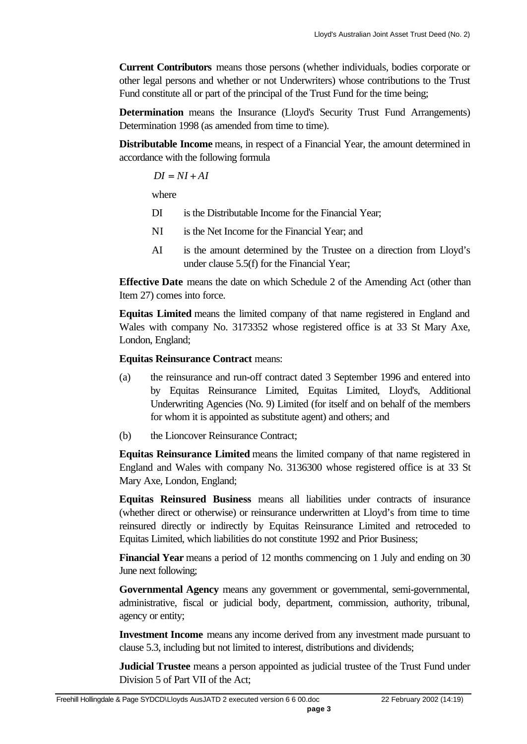**Current Contributors** means those persons (whether individuals, bodies corporate or other legal persons and whether or not Underwriters) whose contributions to the Trust Fund constitute all or part of the principal of the Trust Fund for the time being;

**Determination** means the Insurance (Lloyd's Security Trust Fund Arrangements) Determination 1998 (as amended from time to time).

**Distributable Income** means, in respect of a Financial Year, the amount determined in accordance with the following formula

*DI* = *NI* + *AI*

where

- DI is the Distributable Income for the Financial Year:
- NI is the Net Income for the Financial Year; and
- AI is the amount determined by the Trustee on a direction from Lloyd's under clause 5.5(f) for the Financial Year;

**Effective Date** means the date on which Schedule 2 of the Amending Act (other than Item 27) comes into force.

**Equitas Limited** means the limited company of that name registered in England and Wales with company No. 3173352 whose registered office is at 33 St Mary Axe, London, England;

**Equitas Reinsurance Contract** means:

- (a) the reinsurance and run-off contract dated 3 September 1996 and entered into by Equitas Reinsurance Limited, Equitas Limited, Lloyd's, Additional Underwriting Agencies (No. 9) Limited (for itself and on behalf of the members for whom it is appointed as substitute agent) and others; and
- (b) the Lioncover Reinsurance Contract;

**Equitas Reinsurance Limited** means the limited company of that name registered in England and Wales with company No. 3136300 whose registered office is at 33 St Mary Axe, London, England;

**Equitas Reinsured Business** means all liabilities under contracts of insurance (whether direct or otherwise) or reinsurance underwritten at Lloyd's from time to time reinsured directly or indirectly by Equitas Reinsurance Limited and retroceded to Equitas Limited, which liabilities do not constitute 1992 and Prior Business;

**Financial Year** means a period of 12 months commencing on 1 July and ending on 30 June next following;

**Governmental Agency** means any government or governmental, semi-governmental, administrative, fiscal or judicial body, department, commission, authority, tribunal, agency or entity;

**Investment Income** means any income derived from any investment made pursuant to clause 5.3, including but not limited to interest, distributions and dividends;

**Judicial Trustee** means a person appointed as judicial trustee of the Trust Fund under Division 5 of Part VII of the Act;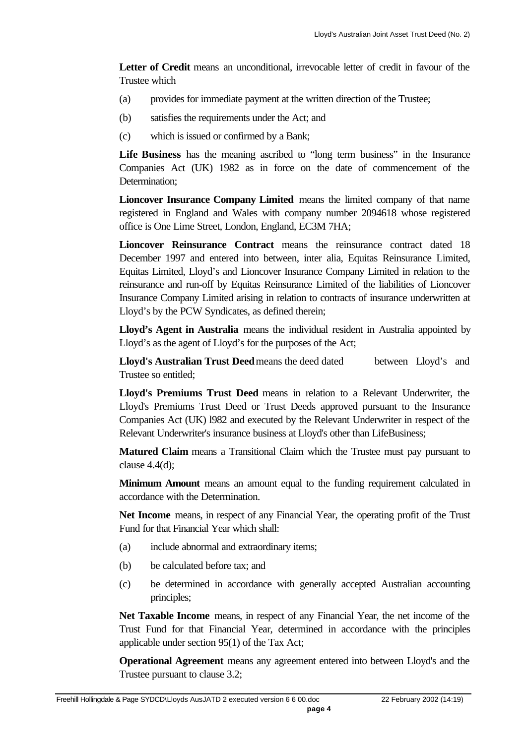Letter of Credit means an unconditional, irrevocable letter of credit in favour of the Trustee which

- (a) provides for immediate payment at the written direction of the Trustee;
- (b) satisfies the requirements under the Act; and
- (c) which is issued or confirmed by a Bank;

Life Business has the meaning ascribed to "long term business" in the Insurance Companies Act (UK) 1982 as in force on the date of commencement of the Determination;

**Lioncover Insurance Company Limited** means the limited company of that name registered in England and Wales with company number 2094618 whose registered office is One Lime Street, London, England, EC3M 7HA;

**Lioncover Reinsurance Contract** means the reinsurance contract dated 18 December 1997 and entered into between, inter alia, Equitas Reinsurance Limited, Equitas Limited, Lloyd's and Lioncover Insurance Company Limited in relation to the reinsurance and run-off by Equitas Reinsurance Limited of the liabilities of Lioncover Insurance Company Limited arising in relation to contracts of insurance underwritten at Lloyd's by the PCW Syndicates, as defined therein;

**Lloyd's Agent in Australia** means the individual resident in Australia appointed by Lloyd's as the agent of Lloyd's for the purposes of the Act;

**Lloyd's Australian Trust Deed** means the deed dated between Lloyd's and Trustee so entitled;

**Lloyd's Premiums Trust Deed** means in relation to a Relevant Underwriter, the Lloyd's Premiums Trust Deed or Trust Deeds approved pursuant to the Insurance Companies Act (UK) l982 and executed by the Relevant Underwriter in respect of the Relevant Underwriter's insurance business at Lloyd's other than LifeBusiness;

**Matured Claim** means a Transitional Claim which the Trustee must pay pursuant to clause 4.4(d);

**Minimum Amount** means an amount equal to the funding requirement calculated in accordance with the Determination.

**Net Income** means, in respect of any Financial Year, the operating profit of the Trust Fund for that Financial Year which shall:

- (a) include abnormal and extraordinary items;
- (b) be calculated before tax; and
- (c) be determined in accordance with generally accepted Australian accounting principles;

**Net Taxable Income** means, in respect of any Financial Year, the net income of the Trust Fund for that Financial Year, determined in accordance with the principles applicable under section 95(1) of the Tax Act;

**Operational Agreement** means any agreement entered into between Lloyd's and the Trustee pursuant to clause 3.2;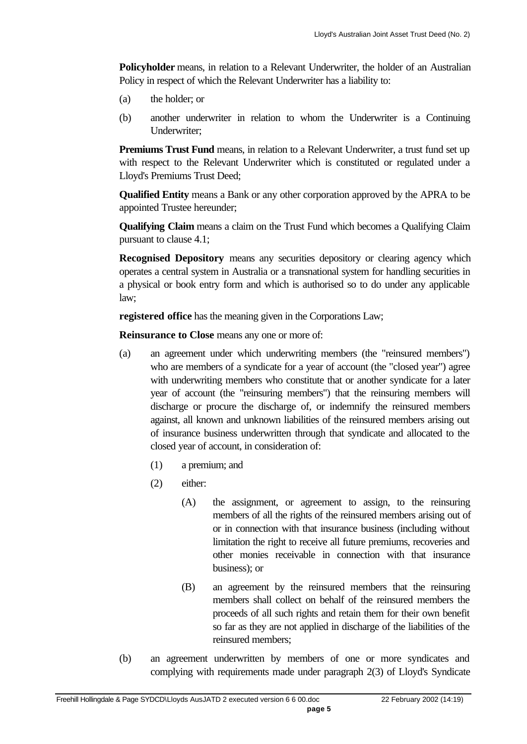**Policyholder** means, in relation to a Relevant Underwriter, the holder of an Australian Policy in respect of which the Relevant Underwriter has a liability to:

- (a) the holder; or
- (b) another underwriter in relation to whom the Underwriter is a Continuing Underwriter;

**Premiums Trust Fund** means, in relation to a Relevant Underwriter, a trust fund set up with respect to the Relevant Underwriter which is constituted or regulated under a Lloyd's Premiums Trust Deed;

**Qualified Entity** means a Bank or any other corporation approved by the APRA to be appointed Trustee hereunder;

**Qualifying Claim** means a claim on the Trust Fund which becomes a Qualifying Claim pursuant to clause 4.1;

**Recognised Depository** means any securities depository or clearing agency which operates a central system in Australia or a transnational system for handling securities in a physical or book entry form and which is authorised so to do under any applicable law;

**registered office** has the meaning given in the Corporations Law;

**Reinsurance to Close** means any one or more of:

- (a) an agreement under which underwriting members (the "reinsured members") who are members of a syndicate for a year of account (the "closed year") agree with underwriting members who constitute that or another syndicate for a later year of account (the "reinsuring members") that the reinsuring members will discharge or procure the discharge of, or indemnify the reinsured members against, all known and unknown liabilities of the reinsured members arising out of insurance business underwritten through that syndicate and allocated to the closed year of account, in consideration of:
	- (1) a premium; and
	- (2) either:
		- (A) the assignment, or agreement to assign, to the reinsuring members of all the rights of the reinsured members arising out of or in connection with that insurance business (including without limitation the right to receive all future premiums, recoveries and other monies receivable in connection with that insurance business); or
		- (B) an agreement by the reinsured members that the reinsuring members shall collect on behalf of the reinsured members the proceeds of all such rights and retain them for their own benefit so far as they are not applied in discharge of the liabilities of the reinsured members;
- (b) an agreement underwritten by members of one or more syndicates and complying with requirements made under paragraph 2(3) of Lloyd's Syndicate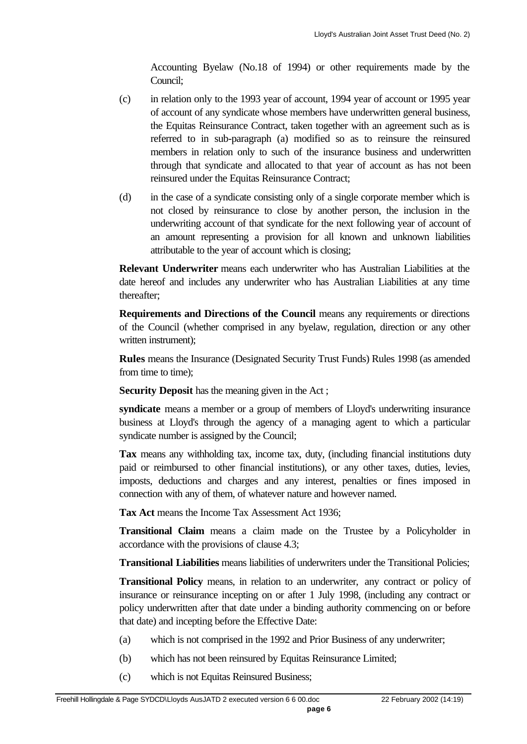Accounting Byelaw (No.18 of 1994) or other requirements made by the Council;

- (c) in relation only to the 1993 year of account, 1994 year of account or 1995 year of account of any syndicate whose members have underwritten general business, the Equitas Reinsurance Contract, taken together with an agreement such as is referred to in sub-paragraph (a) modified so as to reinsure the reinsured members in relation only to such of the insurance business and underwritten through that syndicate and allocated to that year of account as has not been reinsured under the Equitas Reinsurance Contract;
- (d) in the case of a syndicate consisting only of a single corporate member which is not closed by reinsurance to close by another person, the inclusion in the underwriting account of that syndicate for the next following year of account of an amount representing a provision for all known and unknown liabilities attributable to the year of account which is closing;

**Relevant Underwriter** means each underwriter who has Australian Liabilities at the date hereof and includes any underwriter who has Australian Liabilities at any time thereafter;

**Requirements and Directions of the Council** means any requirements or directions of the Council (whether comprised in any byelaw, regulation, direction or any other written instrument);

**Rules** means the Insurance (Designated Security Trust Funds) Rules 1998 (as amended from time to time);

**Security Deposit** has the meaning given in the Act ;

**syndicate** means a member or a group of members of Lloyd's underwriting insurance business at Lloyd's through the agency of a managing agent to which a particular syndicate number is assigned by the Council;

**Tax** means any withholding tax, income tax, duty, (including financial institutions duty paid or reimbursed to other financial institutions), or any other taxes, duties, levies, imposts, deductions and charges and any interest, penalties or fines imposed in connection with any of them, of whatever nature and however named.

**Tax Act** means the Income Tax Assessment Act 1936;

**Transitional Claim** means a claim made on the Trustee by a Policyholder in accordance with the provisions of clause 4.3;

**Transitional Liabilities** means liabilities of underwriters under the Transitional Policies;

**Transitional Policy** means, in relation to an underwriter, any contract or policy of insurance or reinsurance incepting on or after 1 July 1998, (including any contract or policy underwritten after that date under a binding authority commencing on or before that date) and incepting before the Effective Date:

- (a) which is not comprised in the 1992 and Prior Business of any underwriter;
- (b) which has not been reinsured by Equitas Reinsurance Limited;
- (c) which is not Equitas Reinsured Business;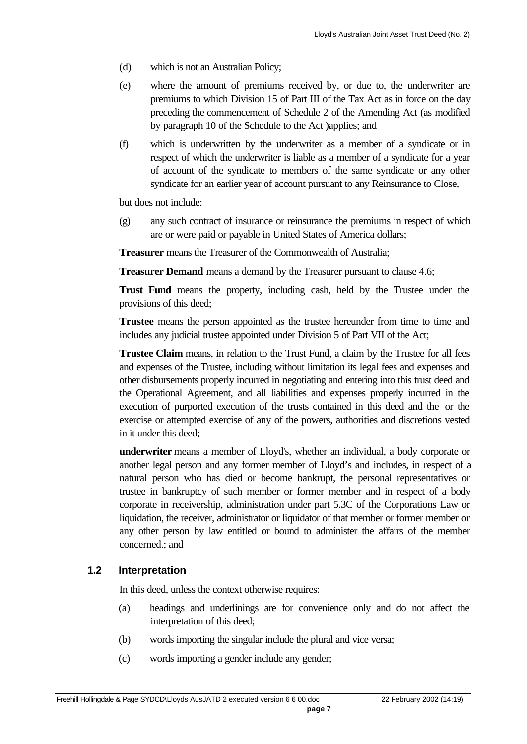- (d) which is not an Australian Policy;
- (e) where the amount of premiums received by, or due to, the underwriter are premiums to which Division 15 of Part III of the Tax Act as in force on the day preceding the commencement of Schedule 2 of the Amending Act (as modified by paragraph 10 of the Schedule to the Act )applies; and
- (f) which is underwritten by the underwriter as a member of a syndicate or in respect of which the underwriter is liable as a member of a syndicate for a year of account of the syndicate to members of the same syndicate or any other syndicate for an earlier year of account pursuant to any Reinsurance to Close,

but does not include:

(g) any such contract of insurance or reinsurance the premiums in respect of which are or were paid or payable in United States of America dollars;

**Treasurer** means the Treasurer of the Commonwealth of Australia;

**Treasurer Demand** means a demand by the Treasurer pursuant to clause 4.6;

**Trust Fund** means the property, including cash, held by the Trustee under the provisions of this deed;

**Trustee** means the person appointed as the trustee hereunder from time to time and includes any judicial trustee appointed under Division 5 of Part VII of the Act;

**Trustee Claim** means, in relation to the Trust Fund, a claim by the Trustee for all fees and expenses of the Trustee, including without limitation its legal fees and expenses and other disbursements properly incurred in negotiating and entering into this trust deed and the Operational Agreement, and all liabilities and expenses properly incurred in the execution of purported execution of the trusts contained in this deed and the or the exercise or attempted exercise of any of the powers, authorities and discretions vested in it under this deed;

**underwriter** means a member of Lloyd's, whether an individual, a body corporate or another legal person and any former member of Lloyd's and includes, in respect of a natural person who has died or become bankrupt, the personal representatives or trustee in bankruptcy of such member or former member and in respect of a body corporate in receivership, administration under part 5.3C of the Corporations Law or liquidation, the receiver, administrator or liquidator of that member or former member or any other person by law entitled or bound to administer the affairs of the member concerned.; and

#### **1.2 Interpretation**

In this deed, unless the context otherwise requires:

- (a) headings and underlinings are for convenience only and do not affect the interpretation of this deed;
- (b) words importing the singular include the plural and vice versa;
- (c) words importing a gender include any gender;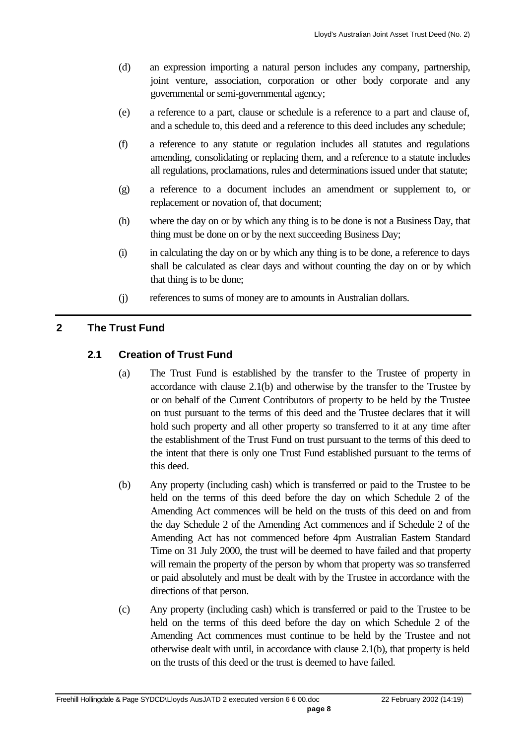- (d) an expression importing a natural person includes any company, partnership, joint venture, association, corporation or other body corporate and any governmental or semi-governmental agency;
- (e) a reference to a part, clause or schedule is a reference to a part and clause of, and a schedule to, this deed and a reference to this deed includes any schedule;
- (f) a reference to any statute or regulation includes all statutes and regulations amending, consolidating or replacing them, and a reference to a statute includes all regulations, proclamations, rules and determinations issued under that statute;
- (g) a reference to a document includes an amendment or supplement to, or replacement or novation of, that document;
- (h) where the day on or by which any thing is to be done is not a Business Day, that thing must be done on or by the next succeeding Business Day;
- (i) in calculating the day on or by which any thing is to be done, a reference to days shall be calculated as clear days and without counting the day on or by which that thing is to be done;
- (j) references to sums of money are to amounts in Australian dollars.

### **2 The Trust Fund**

### **2.1 Creation of Trust Fund**

- (a) The Trust Fund is established by the transfer to the Trustee of property in accordance with clause 2.1(b) and otherwise by the transfer to the Trustee by or on behalf of the Current Contributors of property to be held by the Trustee on trust pursuant to the terms of this deed and the Trustee declares that it will hold such property and all other property so transferred to it at any time after the establishment of the Trust Fund on trust pursuant to the terms of this deed to the intent that there is only one Trust Fund established pursuant to the terms of this deed.
- (b) Any property (including cash) which is transferred or paid to the Trustee to be held on the terms of this deed before the day on which Schedule 2 of the Amending Act commences will be held on the trusts of this deed on and from the day Schedule 2 of the Amending Act commences and if Schedule 2 of the Amending Act has not commenced before 4pm Australian Eastern Standard Time on 31 July 2000, the trust will be deemed to have failed and that property will remain the property of the person by whom that property was so transferred or paid absolutely and must be dealt with by the Trustee in accordance with the directions of that person.
- (c) Any property (including cash) which is transferred or paid to the Trustee to be held on the terms of this deed before the day on which Schedule 2 of the Amending Act commences must continue to be held by the Trustee and not otherwise dealt with until, in accordance with clause 2.1(b), that property is held on the trusts of this deed or the trust is deemed to have failed.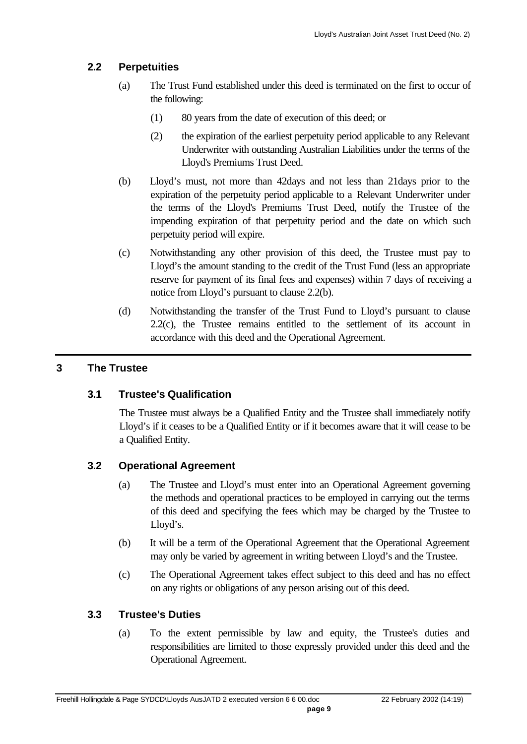## **2.2 Perpetuities**

- (a) The Trust Fund established under this deed is terminated on the first to occur of the following:
	- (1) 80 years from the date of execution of this deed; or
	- (2) the expiration of the earliest perpetuity period applicable to any Relevant Underwriter with outstanding Australian Liabilities under the terms of the Lloyd's Premiums Trust Deed.
- (b) Lloyd's must, not more than 42days and not less than 21days prior to the expiration of the perpetuity period applicable to a Relevant Underwriter under the terms of the Lloyd's Premiums Trust Deed, notify the Trustee of the impending expiration of that perpetuity period and the date on which such perpetuity period will expire.
- (c) Notwithstanding any other provision of this deed, the Trustee must pay to Lloyd's the amount standing to the credit of the Trust Fund (less an appropriate reserve for payment of its final fees and expenses) within 7 days of receiving a notice from Lloyd's pursuant to clause 2.2(b).
- (d) Notwithstanding the transfer of the Trust Fund to Lloyd's pursuant to clause 2.2(c), the Trustee remains entitled to the settlement of its account in accordance with this deed and the Operational Agreement.

### **3 The Trustee**

#### **3.1 Trustee's Qualification**

The Trustee must always be a Qualified Entity and the Trustee shall immediately notify Lloyd's if it ceases to be a Qualified Entity or if it becomes aware that it will cease to be a Qualified Entity.

## **3.2 Operational Agreement**

- (a) The Trustee and Lloyd's must enter into an Operational Agreement governing the methods and operational practices to be employed in carrying out the terms of this deed and specifying the fees which may be charged by the Trustee to Lloyd's.
- (b) It will be a term of the Operational Agreement that the Operational Agreement may only be varied by agreement in writing between Lloyd's and the Trustee.
- (c) The Operational Agreement takes effect subject to this deed and has no effect on any rights or obligations of any person arising out of this deed.

#### **3.3 Trustee's Duties**

(a) To the extent permissible by law and equity, the Trustee's duties and responsibilities are limited to those expressly provided under this deed and the Operational Agreement.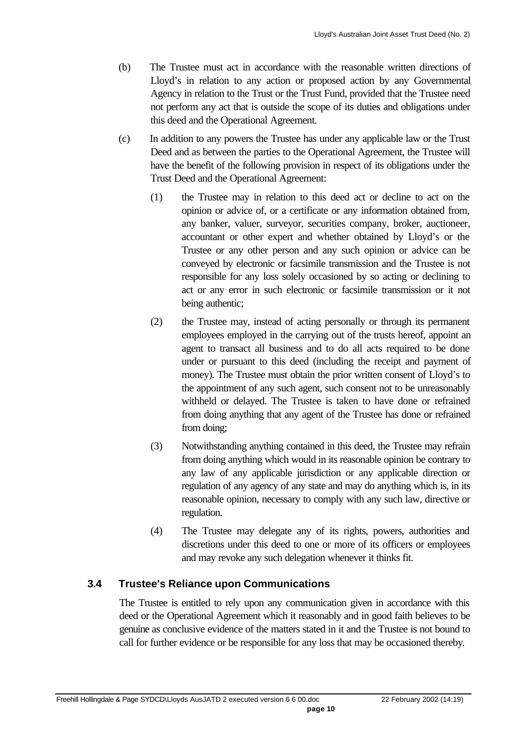- (b) The Trustee must act in accordance with the reasonable written directions of Lloyd's in relation to any action or proposed action by any Governmental Agency in relation to the Trust or the Trust Fund, provided that the Trustee need not perform any act that is outside the scope of its duties and obligations under this deed and the Operational Agreement.
- (c) In addition to any powers the Trustee has under any applicable law or the Trust Deed and as between the parties to the Operational Agreement, the Trustee will have the benefit of the following provision in respect of its obligations under the Trust Deed and the Operational Agreement:
	- (1) the Trustee may in relation to this deed act or decline to act on the opinion or advice of, or a certificate or any information obtained from, any banker, valuer, surveyor, securities company, broker, auctioneer, accountant or other expert and whether obtained by Lloyd's or the Trustee or any other person and any such opinion or advice can be conveyed by electronic or facsimile transmission and the Trustee is not responsible for any loss solely occasioned by so acting or declining to act or any error in such electronic or facsimile transmission or it not being authentic;
	- (2) the Trustee may, instead of acting personally or through its permanent employees employed in the carrying out of the trusts hereof, appoint an agent to transact all business and to do all acts required to be done under or pursuant to this deed (including the receipt and payment of money). The Trustee must obtain the prior written consent of Lloyd's to the appointment of any such agent, such consent not to be unreasonably withheld or delayed. The Trustee is taken to have done or refrained from doing anything that any agent of the Trustee has done or refrained from doing;
	- (3) Notwithstanding anything contained in this deed, the Trustee may refrain from doing anything which would in its reasonable opinion be contrary to any law of any applicable jurisdiction or any applicable direction or regulation of any agency of any state and may do anything which is, in its reasonable opinion, necessary to comply with any such law, directive or regulation.
	- (4) The Trustee may delegate any of its rights, powers, authorities and discretions under this deed to one or more of its officers or employees and may revoke any such delegation whenever it thinks fit.

## **3.4 Trustee's Reliance upon Communications**

The Trustee is entitled to rely upon any communication given in accordance with this deed or the Operational Agreement which it reasonably and in good faith believes to be genuine as conclusive evidence of the matters stated in it and the Trustee is not bound to call for further evidence or be responsible for any loss that may be occasioned thereby.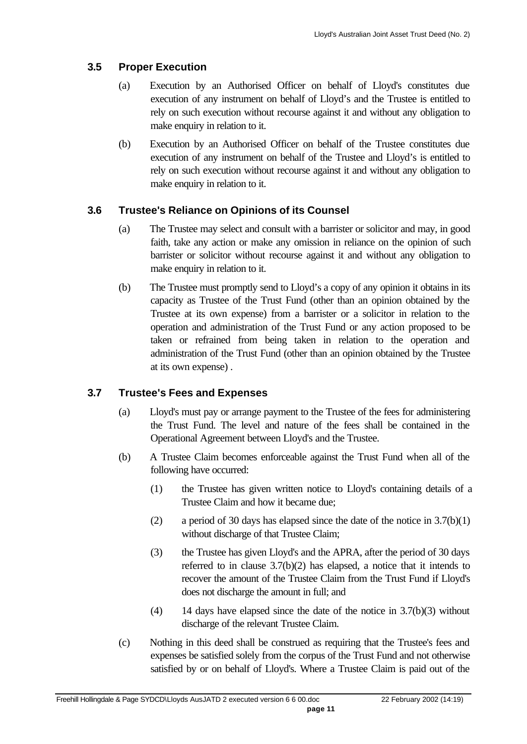## **3.5 Proper Execution**

- (a) Execution by an Authorised Officer on behalf of Lloyd's constitutes due execution of any instrument on behalf of Lloyd's and the Trustee is entitled to rely on such execution without recourse against it and without any obligation to make enquiry in relation to it.
- (b) Execution by an Authorised Officer on behalf of the Trustee constitutes due execution of any instrument on behalf of the Trustee and Lloyd's is entitled to rely on such execution without recourse against it and without any obligation to make enquiry in relation to it.

## **3.6 Trustee's Reliance on Opinions of its Counsel**

- (a) The Trustee may select and consult with a barrister or solicitor and may, in good faith, take any action or make any omission in reliance on the opinion of such barrister or solicitor without recourse against it and without any obligation to make enquiry in relation to it.
- (b) The Trustee must promptly send to Lloyd's a copy of any opinion it obtains in its capacity as Trustee of the Trust Fund (other than an opinion obtained by the Trustee at its own expense) from a barrister or a solicitor in relation to the operation and administration of the Trust Fund or any action proposed to be taken or refrained from being taken in relation to the operation and administration of the Trust Fund (other than an opinion obtained by the Trustee at its own expense) .

## **3.7 Trustee's Fees and Expenses**

- (a) Lloyd's must pay or arrange payment to the Trustee of the fees for administering the Trust Fund. The level and nature of the fees shall be contained in the Operational Agreement between Lloyd's and the Trustee.
- (b) A Trustee Claim becomes enforceable against the Trust Fund when all of the following have occurred:
	- (1) the Trustee has given written notice to Lloyd's containing details of a Trustee Claim and how it became due;
	- (2) a period of 30 days has elapsed since the date of the notice in 3.7(b)(1) without discharge of that Trustee Claim;
	- (3) the Trustee has given Lloyd's and the APRA, after the period of 30 days referred to in clause 3.7(b)(2) has elapsed, a notice that it intends to recover the amount of the Trustee Claim from the Trust Fund if Lloyd's does not discharge the amount in full; and
	- (4) 14 days have elapsed since the date of the notice in 3.7(b)(3) without discharge of the relevant Trustee Claim.
- (c) Nothing in this deed shall be construed as requiring that the Trustee's fees and expenses be satisfied solely from the corpus of the Trust Fund and not otherwise satisfied by or on behalf of Lloyd's. Where a Trustee Claim is paid out of the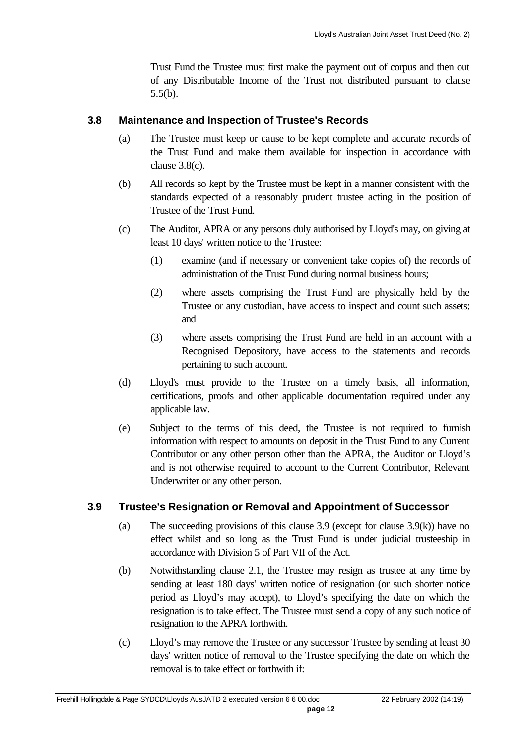Trust Fund the Trustee must first make the payment out of corpus and then out of any Distributable Income of the Trust not distributed pursuant to clause 5.5(b).

#### **3.8 Maintenance and Inspection of Trustee's Records**

- (a) The Trustee must keep or cause to be kept complete and accurate records of the Trust Fund and make them available for inspection in accordance with clause 3.8(c).
- (b) All records so kept by the Trustee must be kept in a manner consistent with the standards expected of a reasonably prudent trustee acting in the position of Trustee of the Trust Fund.
- (c) The Auditor, APRA or any persons duly authorised by Lloyd's may, on giving at least 10 days' written notice to the Trustee:
	- (1) examine (and if necessary or convenient take copies of) the records of administration of the Trust Fund during normal business hours;
	- (2) where assets comprising the Trust Fund are physically held by the Trustee or any custodian, have access to inspect and count such assets; and
	- (3) where assets comprising the Trust Fund are held in an account with a Recognised Depository, have access to the statements and records pertaining to such account.
- (d) Lloyd's must provide to the Trustee on a timely basis, all information, certifications, proofs and other applicable documentation required under any applicable law.
- (e) Subject to the terms of this deed, the Trustee is not required to furnish information with respect to amounts on deposit in the Trust Fund to any Current Contributor or any other person other than the APRA, the Auditor or Lloyd's and is not otherwise required to account to the Current Contributor, Relevant Underwriter or any other person.

#### **3.9 Trustee's Resignation or Removal and Appointment of Successor**

- (a) The succeeding provisions of this clause 3.9 (except for clause 3.9(k)) have no effect whilst and so long as the Trust Fund is under judicial trusteeship in accordance with Division 5 of Part VII of the Act.
- (b) Notwithstanding clause 2.1, the Trustee may resign as trustee at any time by sending at least 180 days' written notice of resignation (or such shorter notice period as Lloyd's may accept), to Lloyd's specifying the date on which the resignation is to take effect. The Trustee must send a copy of any such notice of resignation to the APRA forthwith.
- (c) Lloyd's may remove the Trustee or any successor Trustee by sending at least 30 days' written notice of removal to the Trustee specifying the date on which the removal is to take effect or forthwith if: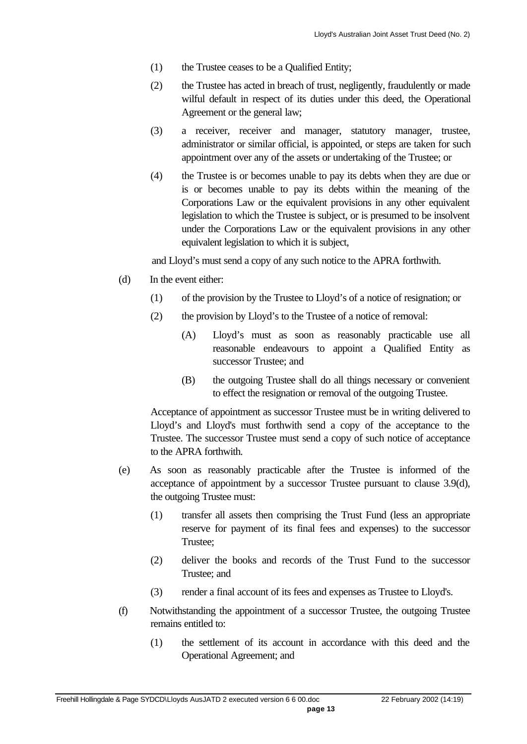- (1) the Trustee ceases to be a Qualified Entity;
- (2) the Trustee has acted in breach of trust, negligently, fraudulently or made wilful default in respect of its duties under this deed, the Operational Agreement or the general law;
- (3) a receiver, receiver and manager, statutory manager, trustee, administrator or similar official, is appointed, or steps are taken for such appointment over any of the assets or undertaking of the Trustee; or
- (4) the Trustee is or becomes unable to pay its debts when they are due or is or becomes unable to pay its debts within the meaning of the Corporations Law or the equivalent provisions in any other equivalent legislation to which the Trustee is subject, or is presumed to be insolvent under the Corporations Law or the equivalent provisions in any other equivalent legislation to which it is subject,

and Lloyd's must send a copy of any such notice to the APRA forthwith.

- (d) In the event either:
	- (1) of the provision by the Trustee to Lloyd's of a notice of resignation; or
	- (2) the provision by Lloyd's to the Trustee of a notice of removal:
		- (A) Lloyd's must as soon as reasonably practicable use all reasonable endeavours to appoint a Qualified Entity as successor Trustee; and
		- (B) the outgoing Trustee shall do all things necessary or convenient to effect the resignation or removal of the outgoing Trustee.

Acceptance of appointment as successor Trustee must be in writing delivered to Lloyd's and Lloyd's must forthwith send a copy of the acceptance to the Trustee. The successor Trustee must send a copy of such notice of acceptance to the APRA forthwith.

- (e) As soon as reasonably practicable after the Trustee is informed of the acceptance of appointment by a successor Trustee pursuant to clause 3.9(d), the outgoing Trustee must:
	- (1) transfer all assets then comprising the Trust Fund (less an appropriate reserve for payment of its final fees and expenses) to the successor Trustee;
	- (2) deliver the books and records of the Trust Fund to the successor Trustee; and
	- (3) render a final account of its fees and expenses as Trustee to Lloyd's.
- (f) Notwithstanding the appointment of a successor Trustee, the outgoing Trustee remains entitled to:
	- (1) the settlement of its account in accordance with this deed and the Operational Agreement; and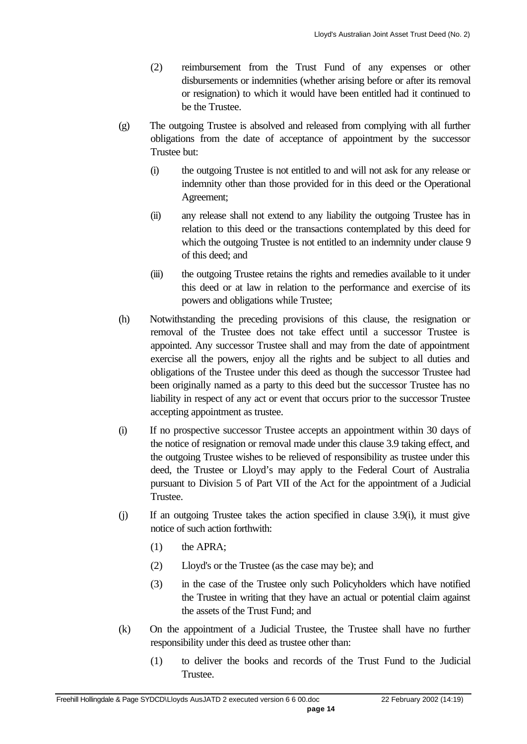- (2) reimbursement from the Trust Fund of any expenses or other disbursements or indemnities (whether arising before or after its removal or resignation) to which it would have been entitled had it continued to be the Trustee.
- (g) The outgoing Trustee is absolved and released from complying with all further obligations from the date of acceptance of appointment by the successor Trustee but:
	- (i) the outgoing Trustee is not entitled to and will not ask for any release or indemnity other than those provided for in this deed or the Operational Agreement;
	- (ii) any release shall not extend to any liability the outgoing Trustee has in relation to this deed or the transactions contemplated by this deed for which the outgoing Trustee is not entitled to an indemnity under clause 9 of this deed; and
	- (iii) the outgoing Trustee retains the rights and remedies available to it under this deed or at law in relation to the performance and exercise of its powers and obligations while Trustee;
- (h) Notwithstanding the preceding provisions of this clause, the resignation or removal of the Trustee does not take effect until a successor Trustee is appointed. Any successor Trustee shall and may from the date of appointment exercise all the powers, enjoy all the rights and be subject to all duties and obligations of the Trustee under this deed as though the successor Trustee had been originally named as a party to this deed but the successor Trustee has no liability in respect of any act or event that occurs prior to the successor Trustee accepting appointment as trustee.
- (i) If no prospective successor Trustee accepts an appointment within 30 days of the notice of resignation or removal made under this clause 3.9 taking effect, and the outgoing Trustee wishes to be relieved of responsibility as trustee under this deed, the Trustee or Lloyd's may apply to the Federal Court of Australia pursuant to Division 5 of Part VII of the Act for the appointment of a Judicial Trustee.
- (j) If an outgoing Trustee takes the action specified in clause 3.9(i), it must give notice of such action forthwith:
	- (1) the APRA;
	- (2) Lloyd's or the Trustee (as the case may be); and
	- (3) in the case of the Trustee only such Policyholders which have notified the Trustee in writing that they have an actual or potential claim against the assets of the Trust Fund; and
- (k) On the appointment of a Judicial Trustee, the Trustee shall have no further responsibility under this deed as trustee other than:
	- (1) to deliver the books and records of the Trust Fund to the Judicial Trustee.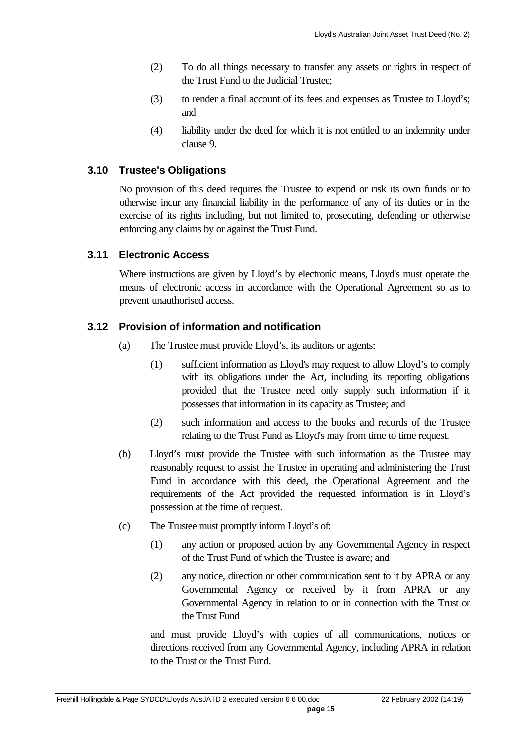- (2) To do all things necessary to transfer any assets or rights in respect of the Trust Fund to the Judicial Trustee;
- (3) to render a final account of its fees and expenses as Trustee to Lloyd's; and
- (4) liability under the deed for which it is not entitled to an indemnity under clause 9.

#### **3.10 Trustee's Obligations**

No provision of this deed requires the Trustee to expend or risk its own funds or to otherwise incur any financial liability in the performance of any of its duties or in the exercise of its rights including, but not limited to, prosecuting, defending or otherwise enforcing any claims by or against the Trust Fund.

#### **3.11 Electronic Access**

Where instructions are given by Lloyd's by electronic means, Lloyd's must operate the means of electronic access in accordance with the Operational Agreement so as to prevent unauthorised access.

### **3.12 Provision of information and notification**

- (a) The Trustee must provide Lloyd's, its auditors or agents:
	- (1) sufficient information as Lloyd's may request to allow Lloyd's to comply with its obligations under the Act, including its reporting obligations provided that the Trustee need only supply such information if it possesses that information in its capacity as Trustee; and
	- (2) such information and access to the books and records of the Trustee relating to the Trust Fund as Lloyd's may from time to time request.
- (b) Lloyd's must provide the Trustee with such information as the Trustee may reasonably request to assist the Trustee in operating and administering the Trust Fund in accordance with this deed, the Operational Agreement and the requirements of the Act provided the requested information is in Lloyd's possession at the time of request.
- (c) The Trustee must promptly inform Lloyd's of:
	- (1) any action or proposed action by any Governmental Agency in respect of the Trust Fund of which the Trustee is aware; and
	- (2) any notice, direction or other communication sent to it by APRA or any Governmental Agency or received by it from APRA or any Governmental Agency in relation to or in connection with the Trust or the Trust Fund

and must provide Lloyd's with copies of all communications, notices or directions received from any Governmental Agency, including APRA in relation to the Trust or the Trust Fund.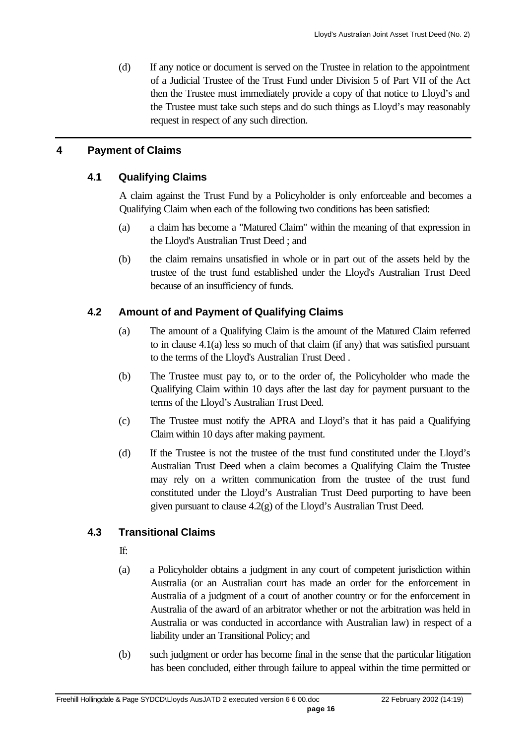(d) If any notice or document is served on the Trustee in relation to the appointment of a Judicial Trustee of the Trust Fund under Division 5 of Part VII of the Act then the Trustee must immediately provide a copy of that notice to Lloyd's and the Trustee must take such steps and do such things as Lloyd's may reasonably request in respect of any such direction.

## **4 Payment of Claims**

## **4.1 Qualifying Claims**

A claim against the Trust Fund by a Policyholder is only enforceable and becomes a Qualifying Claim when each of the following two conditions has been satisfied:

- (a) a claim has become a "Matured Claim" within the meaning of that expression in the Lloyd's Australian Trust Deed ; and
- (b) the claim remains unsatisfied in whole or in part out of the assets held by the trustee of the trust fund established under the Lloyd's Australian Trust Deed because of an insufficiency of funds.

## **4.2 Amount of and Payment of Qualifying Claims**

- (a) The amount of a Qualifying Claim is the amount of the Matured Claim referred to in clause 4.1(a) less so much of that claim (if any) that was satisfied pursuant to the terms of the Lloyd's Australian Trust Deed .
- (b) The Trustee must pay to, or to the order of, the Policyholder who made the Qualifying Claim within 10 days after the last day for payment pursuant to the terms of the Lloyd's Australian Trust Deed.
- (c) The Trustee must notify the APRA and Lloyd's that it has paid a Qualifying Claim within 10 days after making payment.
- (d) If the Trustee is not the trustee of the trust fund constituted under the Lloyd's Australian Trust Deed when a claim becomes a Qualifying Claim the Trustee may rely on a written communication from the trustee of the trust fund constituted under the Lloyd's Australian Trust Deed purporting to have been given pursuant to clause 4.2(g) of the Lloyd's Australian Trust Deed.

## **4.3 Transitional Claims**

- If:
- (a) a Policyholder obtains a judgment in any court of competent jurisdiction within Australia (or an Australian court has made an order for the enforcement in Australia of a judgment of a court of another country or for the enforcement in Australia of the award of an arbitrator whether or not the arbitration was held in Australia or was conducted in accordance with Australian law) in respect of a liability under an Transitional Policy; and
- (b) such judgment or order has become final in the sense that the particular litigation has been concluded, either through failure to appeal within the time permitted or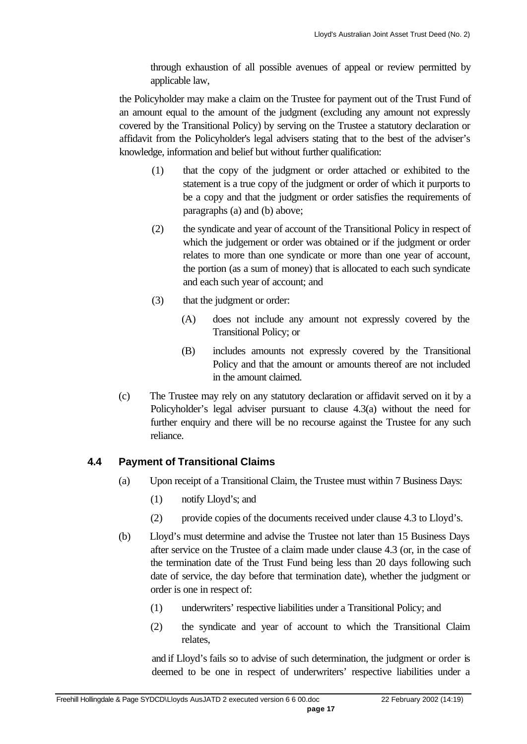through exhaustion of all possible avenues of appeal or review permitted by applicable law,

the Policyholder may make a claim on the Trustee for payment out of the Trust Fund of an amount equal to the amount of the judgment (excluding any amount not expressly covered by the Transitional Policy) by serving on the Trustee a statutory declaration or affidavit from the Policyholder's legal advisers stating that to the best of the adviser's knowledge, information and belief but without further qualification:

- (1) that the copy of the judgment or order attached or exhibited to the statement is a true copy of the judgment or order of which it purports to be a copy and that the judgment or order satisfies the requirements of paragraphs (a) and (b) above;
- (2) the syndicate and year of account of the Transitional Policy in respect of which the judgement or order was obtained or if the judgment or order relates to more than one syndicate or more than one year of account, the portion (as a sum of money) that is allocated to each such syndicate and each such year of account; and
- (3) that the judgment or order:
	- (A) does not include any amount not expressly covered by the Transitional Policy; or
	- (B) includes amounts not expressly covered by the Transitional Policy and that the amount or amounts thereof are not included in the amount claimed.
- (c) The Trustee may rely on any statutory declaration or affidavit served on it by a Policyholder's legal adviser pursuant to clause 4.3(a) without the need for further enquiry and there will be no recourse against the Trustee for any such reliance.

## **4.4 Payment of Transitional Claims**

- (a) Upon receipt of a Transitional Claim, the Trustee must within 7 Business Days:
	- (1) notify Lloyd's; and
	- (2) provide copies of the documents received under clause 4.3 to Lloyd's.
- (b) Lloyd's must determine and advise the Trustee not later than 15 Business Days after service on the Trustee of a claim made under clause 4.3 (or, in the case of the termination date of the Trust Fund being less than 20 days following such date of service, the day before that termination date), whether the judgment or order is one in respect of:
	- (1) underwriters' respective liabilities under a Transitional Policy; and
	- (2) the syndicate and year of account to which the Transitional Claim relates,

and if Lloyd's fails so to advise of such determination, the judgment or order is deemed to be one in respect of underwriters' respective liabilities under a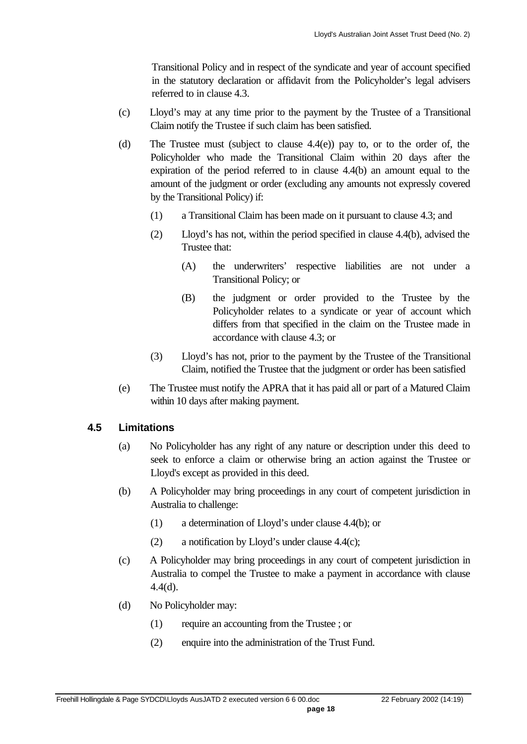Transitional Policy and in respect of the syndicate and year of account specified in the statutory declaration or affidavit from the Policyholder's legal advisers referred to in clause 4.3.

- (c) Lloyd's may at any time prior to the payment by the Trustee of a Transitional Claim notify the Trustee if such claim has been satisfied.
- (d) The Trustee must (subject to clause 4.4(e)) pay to, or to the order of, the Policyholder who made the Transitional Claim within 20 days after the expiration of the period referred to in clause 4.4(b) an amount equal to the amount of the judgment or order (excluding any amounts not expressly covered by the Transitional Policy) if:
	- (1) a Transitional Claim has been made on it pursuant to clause 4.3; and
	- (2) Lloyd's has not, within the period specified in clause 4.4(b), advised the Trustee that:
		- (A) the underwriters' respective liabilities are not under a Transitional Policy; or
		- (B) the judgment or order provided to the Trustee by the Policyholder relates to a syndicate or year of account which differs from that specified in the claim on the Trustee made in accordance with clause 4.3; or
	- (3) Lloyd's has not, prior to the payment by the Trustee of the Transitional Claim, notified the Trustee that the judgment or order has been satisfied
- (e) The Trustee must notify the APRA that it has paid all or part of a Matured Claim within 10 days after making payment.

#### **4.5 Limitations**

- (a) No Policyholder has any right of any nature or description under this deed to seek to enforce a claim or otherwise bring an action against the Trustee or Lloyd's except as provided in this deed.
- (b) A Policyholder may bring proceedings in any court of competent jurisdiction in Australia to challenge:
	- (1) a determination of Lloyd's under clause 4.4(b); or
	- (2) a notification by Lloyd's under clause 4.4(c);
- (c) A Policyholder may bring proceedings in any court of competent jurisdiction in Australia to compel the Trustee to make a payment in accordance with clause 4.4(d).
- (d) No Policyholder may:
	- (1) require an accounting from the Trustee ; or
	- (2) enquire into the administration of the Trust Fund.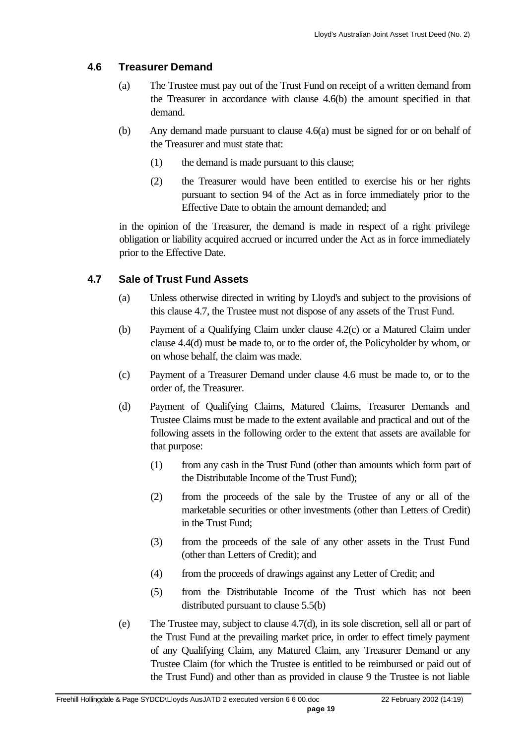#### **4.6 Treasurer Demand**

- (a) The Trustee must pay out of the Trust Fund on receipt of a written demand from the Treasurer in accordance with clause 4.6(b) the amount specified in that demand.
- (b) Any demand made pursuant to clause 4.6(a) must be signed for or on behalf of the Treasurer and must state that:
	- (1) the demand is made pursuant to this clause;
	- (2) the Treasurer would have been entitled to exercise his or her rights pursuant to section 94 of the Act as in force immediately prior to the Effective Date to obtain the amount demanded; and

in the opinion of the Treasurer, the demand is made in respect of a right privilege obligation or liability acquired accrued or incurred under the Act as in force immediately prior to the Effective Date.

#### **4.7 Sale of Trust Fund Assets**

- (a) Unless otherwise directed in writing by Lloyd's and subject to the provisions of this clause 4.7, the Trustee must not dispose of any assets of the Trust Fund.
- (b) Payment of a Qualifying Claim under clause 4.2(c) or a Matured Claim under clause 4.4(d) must be made to, or to the order of, the Policyholder by whom, or on whose behalf, the claim was made.
- (c) Payment of a Treasurer Demand under clause 4.6 must be made to, or to the order of, the Treasurer.
- (d) Payment of Qualifying Claims, Matured Claims, Treasurer Demands and Trustee Claims must be made to the extent available and practical and out of the following assets in the following order to the extent that assets are available for that purpose:
	- (1) from any cash in the Trust Fund (other than amounts which form part of the Distributable Income of the Trust Fund);
	- (2) from the proceeds of the sale by the Trustee of any or all of the marketable securities or other investments (other than Letters of Credit) in the Trust Fund;
	- (3) from the proceeds of the sale of any other assets in the Trust Fund (other than Letters of Credit); and
	- (4) from the proceeds of drawings against any Letter of Credit; and
	- (5) from the Distributable Income of the Trust which has not been distributed pursuant to clause 5.5(b)
- (e) The Trustee may, subject to clause 4.7(d), in its sole discretion, sell all or part of the Trust Fund at the prevailing market price, in order to effect timely payment of any Qualifying Claim, any Matured Claim, any Treasurer Demand or any Trustee Claim (for which the Trustee is entitled to be reimbursed or paid out of the Trust Fund) and other than as provided in clause 9 the Trustee is not liable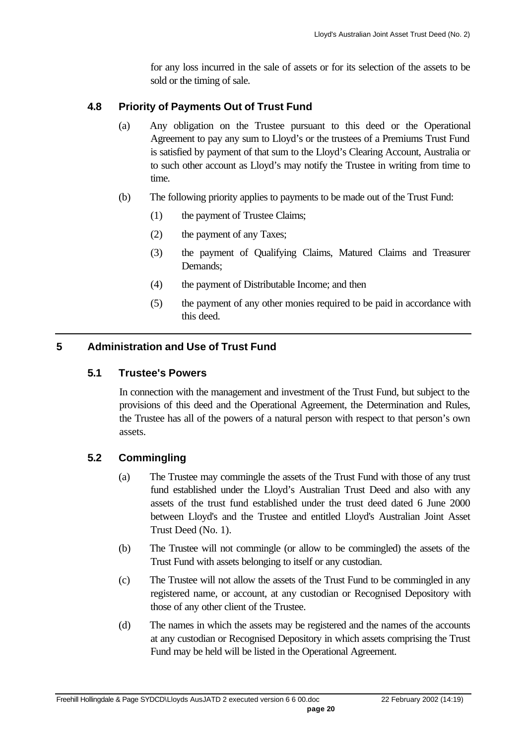for any loss incurred in the sale of assets or for its selection of the assets to be sold or the timing of sale.

#### **4.8 Priority of Payments Out of Trust Fund**

- (a) Any obligation on the Trustee pursuant to this deed or the Operational Agreement to pay any sum to Lloyd's or the trustees of a Premiums Trust Fund is satisfied by payment of that sum to the Lloyd's Clearing Account, Australia or to such other account as Lloyd's may notify the Trustee in writing from time to time.
- (b) The following priority applies to payments to be made out of the Trust Fund:
	- (1) the payment of Trustee Claims;
	- (2) the payment of any Taxes;
	- (3) the payment of Qualifying Claims, Matured Claims and Treasurer Demands;
	- (4) the payment of Distributable Income; and then
	- (5) the payment of any other monies required to be paid in accordance with this deed.

### **5 Administration and Use of Trust Fund**

#### **5.1 Trustee's Powers**

In connection with the management and investment of the Trust Fund, but subject to the provisions of this deed and the Operational Agreement, the Determination and Rules, the Trustee has all of the powers of a natural person with respect to that person's own assets.

#### **5.2 Commingling**

- (a) The Trustee may commingle the assets of the Trust Fund with those of any trust fund established under the Lloyd's Australian Trust Deed and also with any assets of the trust fund established under the trust deed dated 6 June 2000 between Lloyd's and the Trustee and entitled Lloyd's Australian Joint Asset Trust Deed (No. 1).
- (b) The Trustee will not commingle (or allow to be commingled) the assets of the Trust Fund with assets belonging to itself or any custodian.
- (c) The Trustee will not allow the assets of the Trust Fund to be commingled in any registered name, or account, at any custodian or Recognised Depository with those of any other client of the Trustee.
- (d) The names in which the assets may be registered and the names of the accounts at any custodian or Recognised Depository in which assets comprising the Trust Fund may be held will be listed in the Operational Agreement.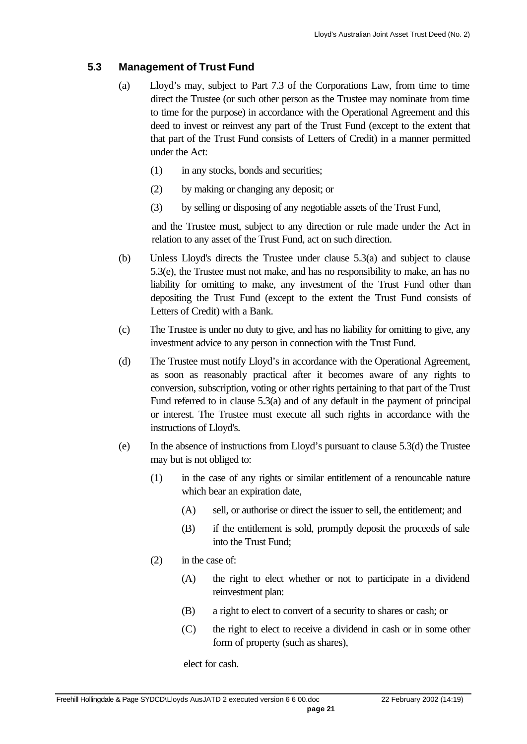## **5.3 Management of Trust Fund**

- (a) Lloyd's may, subject to Part 7.3 of the Corporations Law, from time to time direct the Trustee (or such other person as the Trustee may nominate from time to time for the purpose) in accordance with the Operational Agreement and this deed to invest or reinvest any part of the Trust Fund (except to the extent that that part of the Trust Fund consists of Letters of Credit) in a manner permitted under the Act:
	- (1) in any stocks, bonds and securities;
	- (2) by making or changing any deposit; or
	- (3) by selling or disposing of any negotiable assets of the Trust Fund,

and the Trustee must, subject to any direction or rule made under the Act in relation to any asset of the Trust Fund, act on such direction.

- (b) Unless Lloyd's directs the Trustee under clause 5.3(a) and subject to clause 5.3(e), the Trustee must not make, and has no responsibility to make, an has no liability for omitting to make, any investment of the Trust Fund other than depositing the Trust Fund (except to the extent the Trust Fund consists of Letters of Credit) with a Bank.
- (c) The Trustee is under no duty to give, and has no liability for omitting to give, any investment advice to any person in connection with the Trust Fund.
- (d) The Trustee must notify Lloyd's in accordance with the Operational Agreement, as soon as reasonably practical after it becomes aware of any rights to conversion, subscription, voting or other rights pertaining to that part of the Trust Fund referred to in clause 5.3(a) and of any default in the payment of principal or interest. The Trustee must execute all such rights in accordance with the instructions of Lloyd's.
- (e) In the absence of instructions from Lloyd's pursuant to clause 5.3(d) the Trustee may but is not obliged to:
	- (1) in the case of any rights or similar entitlement of a renouncable nature which bear an expiration date,
		- (A) sell, or authorise or direct the issuer to sell, the entitlement; and
		- (B) if the entitlement is sold, promptly deposit the proceeds of sale into the Trust Fund;
	- (2) in the case of:
		- (A) the right to elect whether or not to participate in a dividend reinvestment plan:
		- (B) a right to elect to convert of a security to shares or cash; or
		- (C) the right to elect to receive a dividend in cash or in some other form of property (such as shares),

elect for cash.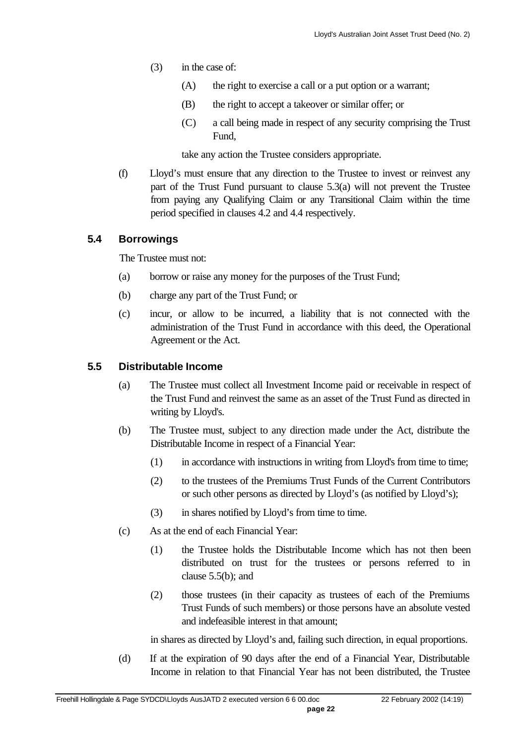- (3) in the case of:
	- (A) the right to exercise a call or a put option or a warrant;
	- (B) the right to accept a takeover or similar offer; or
	- (C) a call being made in respect of any security comprising the Trust Fund,

take any action the Trustee considers appropriate.

(f) Lloyd's must ensure that any direction to the Trustee to invest or reinvest any part of the Trust Fund pursuant to clause 5.3(a) will not prevent the Trustee from paying any Qualifying Claim or any Transitional Claim within the time period specified in clauses 4.2 and 4.4 respectively.

#### **5.4 Borrowings**

The Trustee must not:

- (a) borrow or raise any money for the purposes of the Trust Fund;
- (b) charge any part of the Trust Fund; or
- (c) incur, or allow to be incurred, a liability that is not connected with the administration of the Trust Fund in accordance with this deed, the Operational Agreement or the Act.

#### **5.5 Distributable Income**

- (a) The Trustee must collect all Investment Income paid or receivable in respect of the Trust Fund and reinvest the same as an asset of the Trust Fund as directed in writing by Lloyd's.
- (b) The Trustee must, subject to any direction made under the Act, distribute the Distributable Income in respect of a Financial Year:
	- (1) in accordance with instructions in writing from Lloyd's from time to time;
	- (2) to the trustees of the Premiums Trust Funds of the Current Contributors or such other persons as directed by Lloyd's (as notified by Lloyd's);
	- (3) in shares notified by Lloyd's from time to time.
- (c) As at the end of each Financial Year:
	- (1) the Trustee holds the Distributable Income which has not then been distributed on trust for the trustees or persons referred to in clause 5.5(b); and
	- (2) those trustees (in their capacity as trustees of each of the Premiums Trust Funds of such members) or those persons have an absolute vested and indefeasible interest in that amount;

in shares as directed by Lloyd's and, failing such direction, in equal proportions.

(d) If at the expiration of 90 days after the end of a Financial Year, Distributable Income in relation to that Financial Year has not been distributed, the Trustee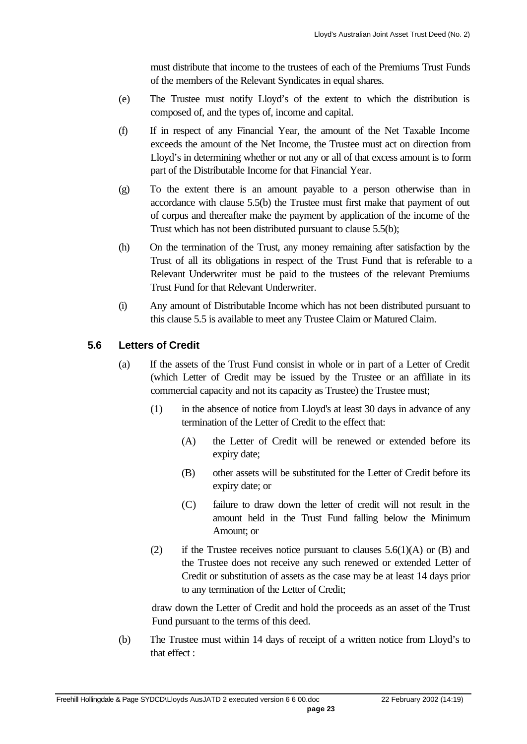must distribute that income to the trustees of each of the Premiums Trust Funds of the members of the Relevant Syndicates in equal shares.

- (e) The Trustee must notify Lloyd's of the extent to which the distribution is composed of, and the types of, income and capital.
- (f) If in respect of any Financial Year, the amount of the Net Taxable Income exceeds the amount of the Net Income, the Trustee must act on direction from Lloyd's in determining whether or not any or all of that excess amount is to form part of the Distributable Income for that Financial Year.
- (g) To the extent there is an amount payable to a person otherwise than in accordance with clause 5.5(b) the Trustee must first make that payment of out of corpus and thereafter make the payment by application of the income of the Trust which has not been distributed pursuant to clause 5.5(b);
- (h) On the termination of the Trust, any money remaining after satisfaction by the Trust of all its obligations in respect of the Trust Fund that is referable to a Relevant Underwriter must be paid to the trustees of the relevant Premiums Trust Fund for that Relevant Underwriter.
- (i) Any amount of Distributable Income which has not been distributed pursuant to this clause 5.5 is available to meet any Trustee Claim or Matured Claim.

#### **5.6 Letters of Credit**

- (a) If the assets of the Trust Fund consist in whole or in part of a Letter of Credit (which Letter of Credit may be issued by the Trustee or an affiliate in its commercial capacity and not its capacity as Trustee) the Trustee must;
	- (1) in the absence of notice from Lloyd's at least 30 days in advance of any termination of the Letter of Credit to the effect that:
		- (A) the Letter of Credit will be renewed or extended before its expiry date;
		- (B) other assets will be substituted for the Letter of Credit before its expiry date; or
		- (C) failure to draw down the letter of credit will not result in the amount held in the Trust Fund falling below the Minimum Amount; or
	- (2) if the Trustee receives notice pursuant to clauses  $5.6(1)(A)$  or (B) and the Trustee does not receive any such renewed or extended Letter of Credit or substitution of assets as the case may be at least 14 days prior to any termination of the Letter of Credit;

draw down the Letter of Credit and hold the proceeds as an asset of the Trust Fund pursuant to the terms of this deed.

(b) The Trustee must within 14 days of receipt of a written notice from Lloyd's to that effect :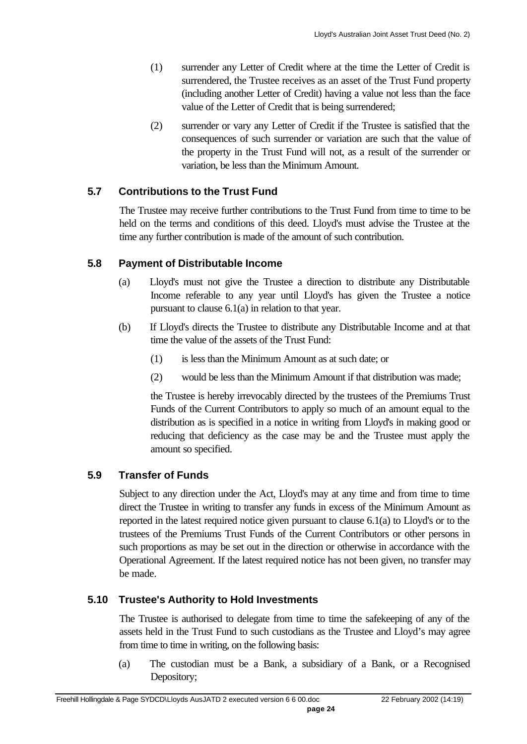- (1) surrender any Letter of Credit where at the time the Letter of Credit is surrendered, the Trustee receives as an asset of the Trust Fund property (including another Letter of Credit) having a value not less than the face value of the Letter of Credit that is being surrendered;
- (2) surrender or vary any Letter of Credit if the Trustee is satisfied that the consequences of such surrender or variation are such that the value of the property in the Trust Fund will not, as a result of the surrender or variation, be less than the Minimum Amount.

## **5.7 Contributions to the Trust Fund**

The Trustee may receive further contributions to the Trust Fund from time to time to be held on the terms and conditions of this deed. Lloyd's must advise the Trustee at the time any further contribution is made of the amount of such contribution.

## **5.8 Payment of Distributable Income**

- (a) Lloyd's must not give the Trustee a direction to distribute any Distributable Income referable to any year until Lloyd's has given the Trustee a notice pursuant to clause 6.1(a) in relation to that year.
- (b) If Lloyd's directs the Trustee to distribute any Distributable Income and at that time the value of the assets of the Trust Fund:
	- (1) is less than the Minimum Amount as at such date; or
	- (2) would be less than the Minimum Amount if that distribution was made;

the Trustee is hereby irrevocably directed by the trustees of the Premiums Trust Funds of the Current Contributors to apply so much of an amount equal to the distribution as is specified in a notice in writing from Lloyd's in making good or reducing that deficiency as the case may be and the Trustee must apply the amount so specified.

## **5.9 Transfer of Funds**

Subject to any direction under the Act, Lloyd's may at any time and from time to time direct the Trustee in writing to transfer any funds in excess of the Minimum Amount as reported in the latest required notice given pursuant to clause 6.1(a) to Lloyd's or to the trustees of the Premiums Trust Funds of the Current Contributors or other persons in such proportions as may be set out in the direction or otherwise in accordance with the Operational Agreement. If the latest required notice has not been given, no transfer may be made.

## **5.10 Trustee's Authority to Hold Investments**

The Trustee is authorised to delegate from time to time the safekeeping of any of the assets held in the Trust Fund to such custodians as the Trustee and Lloyd's may agree from time to time in writing, on the following basis:

(a) The custodian must be a Bank, a subsidiary of a Bank, or a Recognised Depository;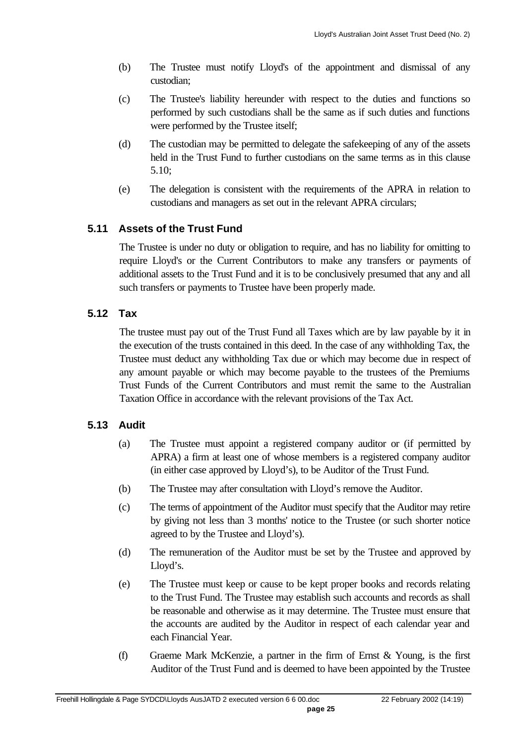- (b) The Trustee must notify Lloyd's of the appointment and dismissal of any custodian;
- (c) The Trustee's liability hereunder with respect to the duties and functions so performed by such custodians shall be the same as if such duties and functions were performed by the Trustee itself;
- (d) The custodian may be permitted to delegate the safekeeping of any of the assets held in the Trust Fund to further custodians on the same terms as in this clause 5.10;
- (e) The delegation is consistent with the requirements of the APRA in relation to custodians and managers as set out in the relevant APRA circulars;

## **5.11 Assets of the Trust Fund**

The Trustee is under no duty or obligation to require, and has no liability for omitting to require Lloyd's or the Current Contributors to make any transfers or payments of additional assets to the Trust Fund and it is to be conclusively presumed that any and all such transfers or payments to Trustee have been properly made.

## **5.12 Tax**

The trustee must pay out of the Trust Fund all Taxes which are by law payable by it in the execution of the trusts contained in this deed. In the case of any withholding Tax, the Trustee must deduct any withholding Tax due or which may become due in respect of any amount payable or which may become payable to the trustees of the Premiums Trust Funds of the Current Contributors and must remit the same to the Australian Taxation Office in accordance with the relevant provisions of the Tax Act.

## **5.13 Audit**

- (a) The Trustee must appoint a registered company auditor or (if permitted by APRA) a firm at least one of whose members is a registered company auditor (in either case approved by Lloyd's), to be Auditor of the Trust Fund.
- (b) The Trustee may after consultation with Lloyd's remove the Auditor.
- (c) The terms of appointment of the Auditor must specify that the Auditor may retire by giving not less than 3 months' notice to the Trustee (or such shorter notice agreed to by the Trustee and Lloyd's).
- (d) The remuneration of the Auditor must be set by the Trustee and approved by Lloyd's.
- (e) The Trustee must keep or cause to be kept proper books and records relating to the Trust Fund. The Trustee may establish such accounts and records as shall be reasonable and otherwise as it may determine. The Trustee must ensure that the accounts are audited by the Auditor in respect of each calendar year and each Financial Year.
- (f) Graeme Mark McKenzie, a partner in the firm of Ernst & Young, is the first Auditor of the Trust Fund and is deemed to have been appointed by the Trustee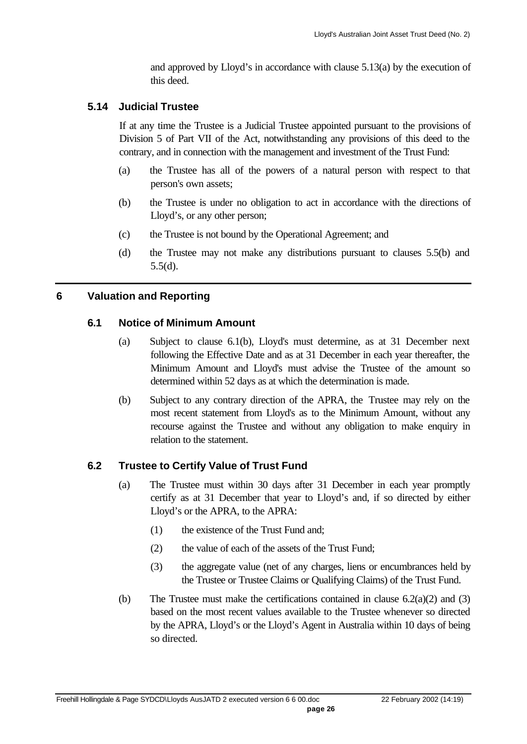and approved by Lloyd's in accordance with clause  $5.13(a)$  by the execution of this deed.

#### **5.14 Judicial Trustee**

If at any time the Trustee is a Judicial Trustee appointed pursuant to the provisions of Division 5 of Part VII of the Act, notwithstanding any provisions of this deed to the contrary, and in connection with the management and investment of the Trust Fund:

- (a) the Trustee has all of the powers of a natural person with respect to that person's own assets;
- (b) the Trustee is under no obligation to act in accordance with the directions of Lloyd's, or any other person;
- (c) the Trustee is not bound by the Operational Agreement; and
- (d) the Trustee may not make any distributions pursuant to clauses 5.5(b) and 5.5(d).

### **6 Valuation and Reporting**

#### **6.1 Notice of Minimum Amount**

- (a) Subject to clause 6.1(b), Lloyd's must determine, as at 31 December next following the Effective Date and as at 31 December in each year thereafter, the Minimum Amount and Lloyd's must advise the Trustee of the amount so determined within 52 days as at which the determination is made.
- (b) Subject to any contrary direction of the APRA, the Trustee may rely on the most recent statement from Lloyd's as to the Minimum Amount, without any recourse against the Trustee and without any obligation to make enquiry in relation to the statement.

#### **6.2 Trustee to Certify Value of Trust Fund**

- (a) The Trustee must within 30 days after 31 December in each year promptly certify as at 31 December that year to Lloyd's and, if so directed by either Lloyd's or the APRA, to the APRA:
	- (1) the existence of the Trust Fund and;
	- (2) the value of each of the assets of the Trust Fund;
	- (3) the aggregate value (net of any charges, liens or encumbrances held by the Trustee or Trustee Claims or Qualifying Claims) of the Trust Fund.
- (b) The Trustee must make the certifications contained in clause  $6.2(a)(2)$  and  $(3)$ based on the most recent values available to the Trustee whenever so directed by the APRA, Lloyd's or the Lloyd's Agent in Australia within 10 days of being so directed.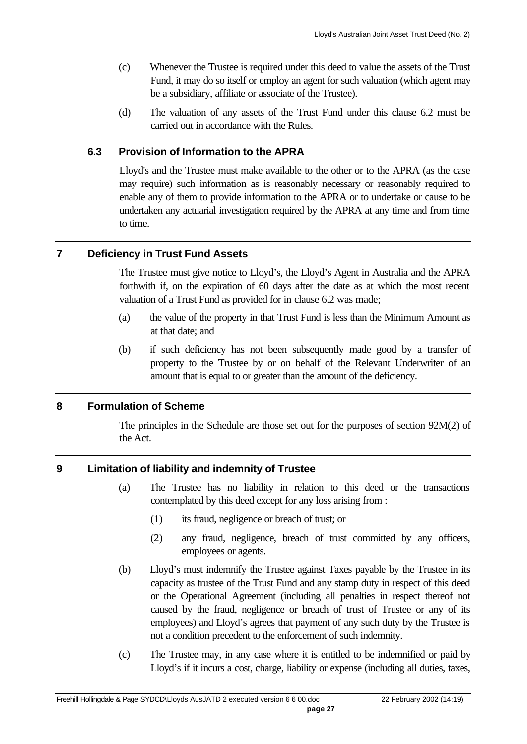- (c) Whenever the Trustee is required under this deed to value the assets of the Trust Fund, it may do so itself or employ an agent for such valuation (which agent may be a subsidiary, affiliate or associate of the Trustee).
- (d) The valuation of any assets of the Trust Fund under this clause 6.2 must be carried out in accordance with the Rules.

#### **6.3 Provision of Information to the APRA**

Lloyd's and the Trustee must make available to the other or to the APRA (as the case may require) such information as is reasonably necessary or reasonably required to enable any of them to provide information to the APRA or to undertake or cause to be undertaken any actuarial investigation required by the APRA at any time and from time to time.

#### **7 Deficiency in Trust Fund Assets**

The Trustee must give notice to Lloyd's, the Lloyd's Agent in Australia and the APRA forthwith if, on the expiration of 60 days after the date as at which the most recent valuation of a Trust Fund as provided for in clause 6.2 was made;

- (a) the value of the property in that Trust Fund is less than the Minimum Amount as at that date; and
- (b) if such deficiency has not been subsequently made good by a transfer of property to the Trustee by or on behalf of the Relevant Underwriter of an amount that is equal to or greater than the amount of the deficiency.

#### **8 Formulation of Scheme**

The principles in the Schedule are those set out for the purposes of section 92M(2) of the Act.

#### **9 Limitation of liability and indemnity of Trustee**

- (a) The Trustee has no liability in relation to this deed or the transactions contemplated by this deed except for any loss arising from :
	- (1) its fraud, negligence or breach of trust; or
	- (2) any fraud, negligence, breach of trust committed by any officers, employees or agents.
- (b) Lloyd's must indemnify the Trustee against Taxes payable by the Trustee in its capacity as trustee of the Trust Fund and any stamp duty in respect of this deed or the Operational Agreement (including all penalties in respect thereof not caused by the fraud, negligence or breach of trust of Trustee or any of its employees) and Lloyd's agrees that payment of any such duty by the Trustee is not a condition precedent to the enforcement of such indemnity.
- (c) The Trustee may, in any case where it is entitled to be indemnified or paid by Lloyd's if it incurs a cost, charge, liability or expense (including all duties, taxes,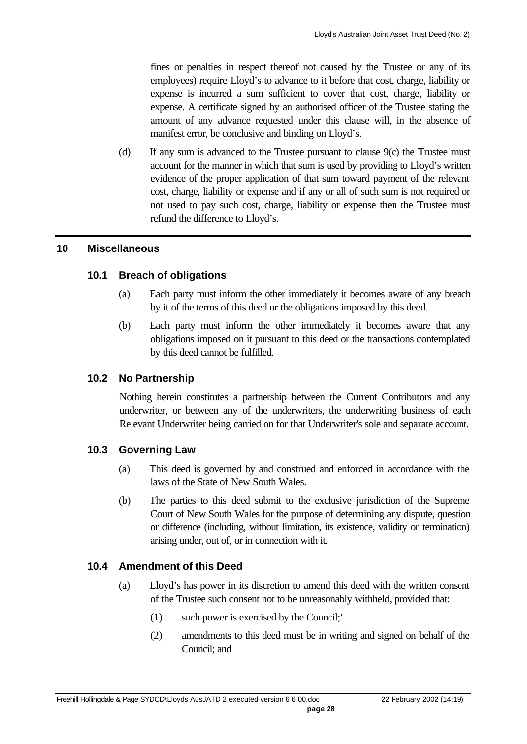fines or penalties in respect thereof not caused by the Trustee or any of its employees) require Lloyd's to advance to it before that cost, charge, liability or expense is incurred a sum sufficient to cover that cost, charge, liability or expense. A certificate signed by an authorised officer of the Trustee stating the amount of any advance requested under this clause will, in the absence of manifest error, be conclusive and binding on Lloyd's.

(d) If any sum is advanced to the Trustee pursuant to clause 9(c) the Trustee must account for the manner in which that sum is used by providing to Lloyd's written evidence of the proper application of that sum toward payment of the relevant cost, charge, liability or expense and if any or all of such sum is not required or not used to pay such cost, charge, liability or expense then the Trustee must refund the difference to Lloyd's.

#### **10 Miscellaneous**

#### **10.1 Breach of obligations**

- (a) Each party must inform the other immediately it becomes aware of any breach by it of the terms of this deed or the obligations imposed by this deed.
- (b) Each party must inform the other immediately it becomes aware that any obligations imposed on it pursuant to this deed or the transactions contemplated by this deed cannot be fulfilled.

#### **10.2 No Partnership**

Nothing herein constitutes a partnership between the Current Contributors and any underwriter, or between any of the underwriters, the underwriting business of each Relevant Underwriter being carried on for that Underwriter's sole and separate account.

#### **10.3 Governing Law**

- (a) This deed is governed by and construed and enforced in accordance with the laws of the State of New South Wales.
- (b) The parties to this deed submit to the exclusive jurisdiction of the Supreme Court of New South Wales for the purpose of determining any dispute, question or difference (including, without limitation, its existence, validity or termination) arising under, out of, or in connection with it.

#### **10.4 Amendment of this Deed**

- (a) Lloyd's has power in its discretion to amend this deed with the written consent of the Trustee such consent not to be unreasonably withheld, provided that:
	- (1) such power is exercised by the Council;'
	- (2) amendments to this deed must be in writing and signed on behalf of the Council; and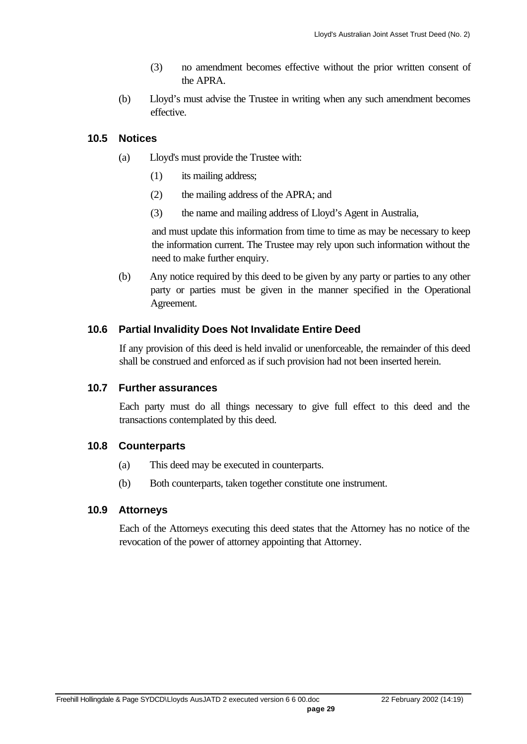- (3) no amendment becomes effective without the prior written consent of the APRA.
- (b) Lloyd's must advise the Trustee in writing when any such amendment becomes effective.

### **10.5 Notices**

- (a) Lloyd's must provide the Trustee with:
	- (1) its mailing address;
	- (2) the mailing address of the APRA; and
	- (3) the name and mailing address of Lloyd's Agent in Australia,

and must update this information from time to time as may be necessary to keep the information current. The Trustee may rely upon such information without the need to make further enquiry.

(b) Any notice required by this deed to be given by any party or parties to any other party or parties must be given in the manner specified in the Operational Agreement.

### **10.6 Partial Invalidity Does Not Invalidate Entire Deed**

If any provision of this deed is held invalid or unenforceable, the remainder of this deed shall be construed and enforced as if such provision had not been inserted herein.

#### **10.7 Further assurances**

Each party must do all things necessary to give full effect to this deed and the transactions contemplated by this deed.

#### **10.8 Counterparts**

- (a) This deed may be executed in counterparts.
- (b) Both counterparts, taken together constitute one instrument.

#### **10.9 Attorneys**

Each of the Attorneys executing this deed states that the Attorney has no notice of the revocation of the power of attorney appointing that Attorney.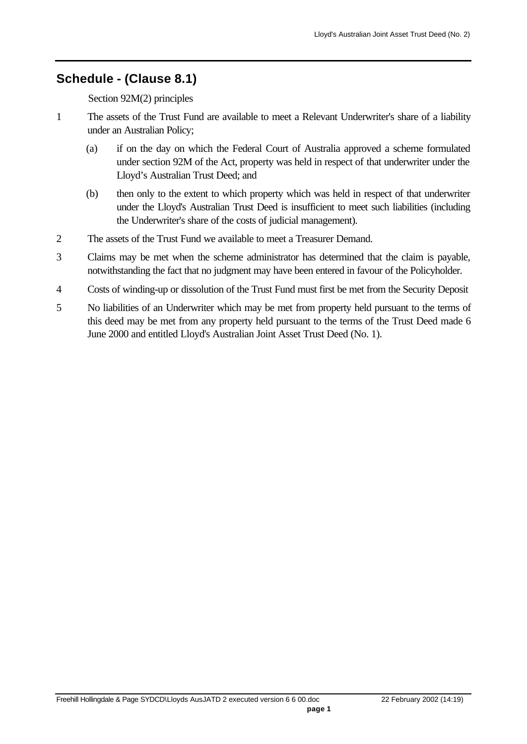## **Schedule - (Clause 8.1)**

Section 92M(2) principles

- 1 The assets of the Trust Fund are available to meet a Relevant Underwriter's share of a liability under an Australian Policy;
	- (a) if on the day on which the Federal Court of Australia approved a scheme formulated under section 92M of the Act, property was held in respect of that underwriter under the Lloyd's Australian Trust Deed; and
	- (b) then only to the extent to which property which was held in respect of that underwriter under the Lloyd's Australian Trust Deed is insufficient to meet such liabilities (including the Underwriter's share of the costs of judicial management).
- 2 The assets of the Trust Fund we available to meet a Treasurer Demand.
- 3 Claims may be met when the scheme administrator has determined that the claim is payable, notwithstanding the fact that no judgment may have been entered in favour of the Policyholder.
- 4 Costs of winding-up or dissolution of the Trust Fund must first be met from the Security Deposit
- 5 No liabilities of an Underwriter which may be met from property held pursuant to the terms of this deed may be met from any property held pursuant to the terms of the Trust Deed made 6 June 2000 and entitled Lloyd's Australian Joint Asset Trust Deed (No. 1).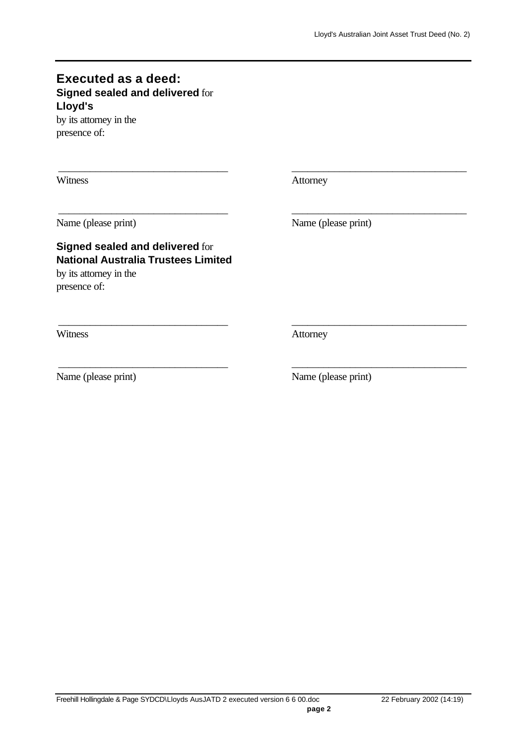## **Executed as a deed: Signed sealed and delivered** for **Lloyd's**

by its attorney in the presence of:

Witness **Attorney** 

\_\_\_\_\_\_\_\_\_\_\_\_\_\_\_\_\_\_\_\_\_\_\_\_\_\_\_\_\_\_\_\_ \_\_\_\_\_\_\_\_\_\_\_\_\_\_\_\_\_\_\_\_\_\_\_\_\_\_\_\_\_\_\_\_\_

\_\_\_\_\_\_\_\_\_\_\_\_\_\_\_\_\_\_\_\_\_\_\_\_\_\_\_\_\_\_\_\_ \_\_\_\_\_\_\_\_\_\_\_\_\_\_\_\_\_\_\_\_\_\_\_\_\_\_\_\_\_\_\_\_\_

\_\_\_\_\_\_\_\_\_\_\_\_\_\_\_\_\_\_\_\_\_\_\_\_\_\_\_\_\_\_\_\_ \_\_\_\_\_\_\_\_\_\_\_\_\_\_\_\_\_\_\_\_\_\_\_\_\_\_\_\_\_\_\_\_\_

\_\_\_\_\_\_\_\_\_\_\_\_\_\_\_\_\_\_\_\_\_\_\_\_\_\_\_\_\_\_\_\_ \_\_\_\_\_\_\_\_\_\_\_\_\_\_\_\_\_\_\_\_\_\_\_\_\_\_\_\_\_\_\_\_\_

Name (please print) Name (please print)

## **Signed sealed and delivered** for **National Australia Trustees Limited** by its attorney in the

presence of:

Witness **Attorney** 

Name (please print) Name (please print)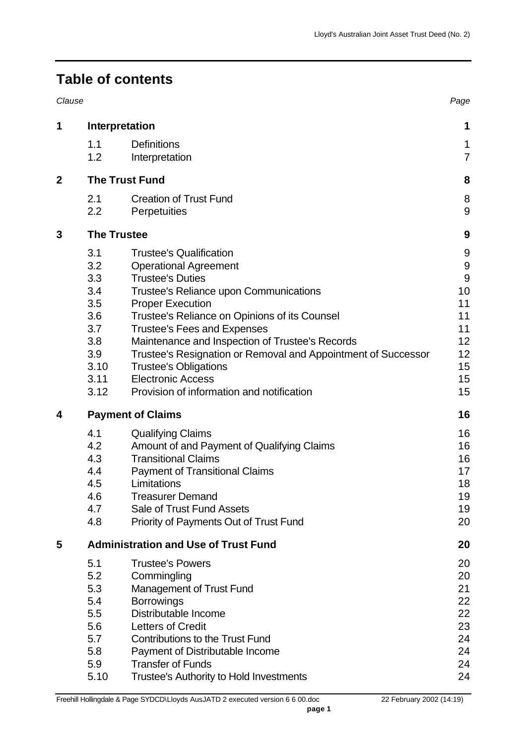# **Table of contents**

| Clause | Page |
|--------|------|
|--------|------|

| 1                | <b>Interpretation</b>                                                               |                                                                                                                                                                                                                                                                                                                                                                                                                                                                                    |                                                                                                 |
|------------------|-------------------------------------------------------------------------------------|------------------------------------------------------------------------------------------------------------------------------------------------------------------------------------------------------------------------------------------------------------------------------------------------------------------------------------------------------------------------------------------------------------------------------------------------------------------------------------|-------------------------------------------------------------------------------------------------|
|                  | 1.1<br>1.2                                                                          | <b>Definitions</b><br>Interpretation                                                                                                                                                                                                                                                                                                                                                                                                                                               | 1<br>$\overline{7}$                                                                             |
| $\boldsymbol{2}$ | <b>The Trust Fund</b>                                                               |                                                                                                                                                                                                                                                                                                                                                                                                                                                                                    |                                                                                                 |
|                  | 2.1<br>2.2                                                                          | <b>Creation of Trust Fund</b><br>Perpetuities                                                                                                                                                                                                                                                                                                                                                                                                                                      | 8<br>$9\,$                                                                                      |
| 3                | <b>The Trustee</b>                                                                  |                                                                                                                                                                                                                                                                                                                                                                                                                                                                                    | $\boldsymbol{9}$                                                                                |
|                  | 3.1<br>3.2<br>3.3<br>3.4<br>3.5<br>3.6<br>3.7<br>3.8<br>3.9<br>3.10<br>3.11<br>3.12 | <b>Trustee's Qualification</b><br><b>Operational Agreement</b><br><b>Trustee's Duties</b><br>Trustee's Reliance upon Communications<br><b>Proper Execution</b><br>Trustee's Reliance on Opinions of its Counsel<br><b>Trustee's Fees and Expenses</b><br>Maintenance and Inspection of Trustee's Records<br>Trustee's Resignation or Removal and Appointment of Successor<br><b>Trustee's Obligations</b><br><b>Electronic Access</b><br>Provision of information and notification | 9<br>$\boldsymbol{9}$<br>$\boldsymbol{9}$<br>10<br>11<br>11<br>11<br>12<br>12<br>15<br>15<br>15 |
| 4                | <b>Payment of Claims</b>                                                            |                                                                                                                                                                                                                                                                                                                                                                                                                                                                                    |                                                                                                 |
|                  | 4.1<br>4.2<br>4.3<br>4.4<br>4.5<br>4.6<br>4.7<br>4.8                                | <b>Qualifying Claims</b><br>Amount of and Payment of Qualifying Claims<br><b>Transitional Claims</b><br><b>Payment of Transitional Claims</b><br>Limitations<br><b>Treasurer Demand</b><br>Sale of Trust Fund Assets<br>Priority of Payments Out of Trust Fund                                                                                                                                                                                                                     | 16<br>16<br>16<br>17<br>18<br>19<br>19<br>20                                                    |
| 5                |                                                                                     | <b>Administration and Use of Trust Fund</b>                                                                                                                                                                                                                                                                                                                                                                                                                                        | 20                                                                                              |
|                  | 5.1<br>5.2<br>5.3<br>5.4<br>5.5<br>5.6<br>5.7<br>5.8                                | <b>Trustee's Powers</b><br>Commingling<br>Management of Trust Fund<br><b>Borrowings</b><br>Distributable Income<br><b>Letters of Credit</b><br><b>Contributions to the Trust Fund</b><br>Payment of Distributable Income                                                                                                                                                                                                                                                           | 20<br>20<br>21<br>22<br>22<br>23<br>24<br>24<br>24                                              |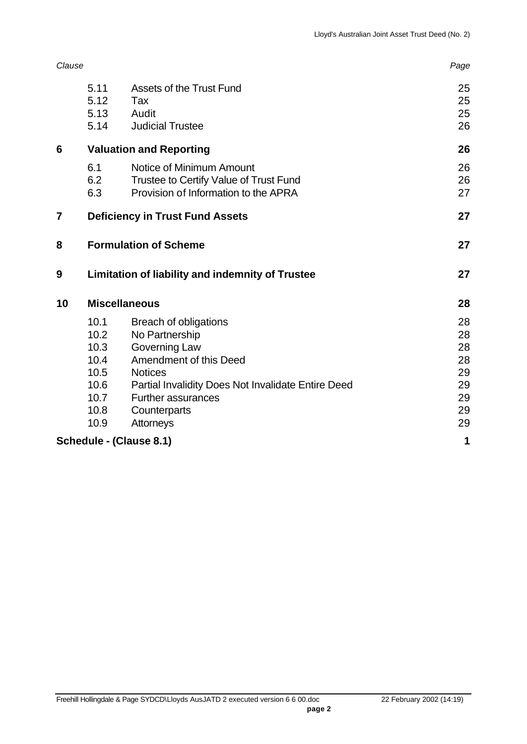| Clause         |                                                                      |                                                                                                                                                                                                                      | Page                                               |
|----------------|----------------------------------------------------------------------|----------------------------------------------------------------------------------------------------------------------------------------------------------------------------------------------------------------------|----------------------------------------------------|
|                | 5.11<br>5.12<br>5.13<br>5.14                                         | <b>Assets of the Trust Fund</b><br>Tax<br>Audit<br><b>Judicial Trustee</b>                                                                                                                                           | 25<br>25<br>25<br>26                               |
| 6              | <b>Valuation and Reporting</b>                                       |                                                                                                                                                                                                                      | 26                                                 |
|                | 6.1<br>6.2<br>6.3                                                    | Notice of Minimum Amount<br>Trustee to Certify Value of Trust Fund<br>Provision of Information to the APRA                                                                                                           | 26<br>26<br>27                                     |
| $\overline{7}$ |                                                                      | <b>Deficiency in Trust Fund Assets</b>                                                                                                                                                                               | 27                                                 |
| 8              |                                                                      | <b>Formulation of Scheme</b>                                                                                                                                                                                         | 27                                                 |
| 9              |                                                                      | <b>Limitation of liability and indemnity of Trustee</b>                                                                                                                                                              | 27                                                 |
| 10             | <b>Miscellaneous</b>                                                 |                                                                                                                                                                                                                      | 28                                                 |
|                | 10.1<br>10.2<br>10.3<br>10.4<br>10.5<br>10.6<br>10.7<br>10.8<br>10.9 | Breach of obligations<br>No Partnership<br>Governing Law<br>Amendment of this Deed<br><b>Notices</b><br>Partial Invalidity Does Not Invalidate Entire Deed<br><b>Further assurances</b><br>Counterparts<br>Attorneys | 28<br>28<br>28<br>28<br>29<br>29<br>29<br>29<br>29 |
|                |                                                                      |                                                                                                                                                                                                                      |                                                    |

## **Schedule - (Clause 8.1) 1**